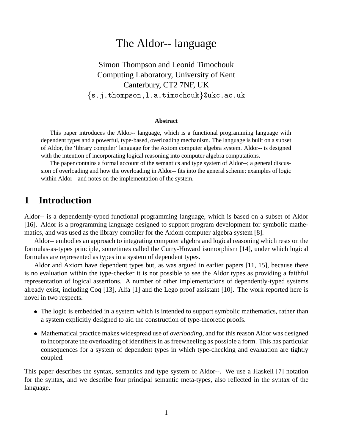# The Aldor-- language

Simon Thompson and Leonid Timochouk Computing Laboratory, University of Kent Canterbury, CT2 7NF, UK -- -----

#### **Abstract**

This paper introduces the Aldor-- language, which is a functional programming language with dependent types and a powerful, type-based, overloading mechanism. The language is built on a subset of Aldor, the 'library compiler' language for the Axiom computer algebra system. Aldor-- is designed with the intention of incorporating logical reasoning into computer algebra computations.

The paper contains a formal account of the semantics and type system of Aldor--; a general discussion of overloading and how the overloading in Aldor-- fits into the general scheme; examples of logic within Aldor-- and notes on the implementation of the system.

## **1 Introduction**

Aldor-- is a dependently-typed functional programming language, which is based on a subset of Aldor [16]. Aldor is a programming language designed to support program development for symbolic mathematics, and was used as the library compiler for the Axiom computer algebra system [8].

Aldor-- embodies an approach to integrating computer algebra and logical reasoning which rests on the formulas-as-types principle, sometimes called the Curry-Howard isomorphism [14], under which logical formulas are represented as types in a system of dependent types.

Aldor and Axiom have dependent types but, as was argued in earlier papers [11, 15], because there is no evaluation within the type-checker it is not possible to see the Aldor types as providing a faithful representation of logical assertions. A number of other implementations of dependently-typed systems already exist, including Coq [13], Alfa [1] and the Lego proof assistant [10]. The work reported here is novel in two respects.

- The logic is embedded in a system which is intended to support symbolic mathematics, rather than a system explicitly designed to aid the construction of type-theoretic proofs.
- Mathematical practice makes widespread use of *overloading*, and for this reason Aldor was designed to incorporate the overloading of identifiers in as freewheeling as possible a form. This has particular consequences for a system of dependent types in which type-checking and evaluation are tightly coupled.

This paper describes the syntax, semantics and type system of Aldor--. We use a Haskell [7] notation for the syntax, and we describe four principal semantic meta-types, also reflected in the syntax of the language.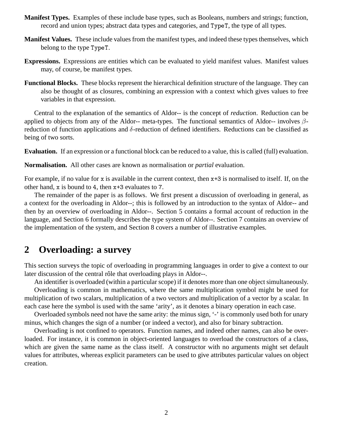- **Manifest Types.** Examples of these include base types, such as Booleans, numbers and strings; function, record and union types; abstract data types and categories, and TypeT, the type of all types.
- **Manifest Values.** These include values from the manifest types, and indeed these types themselves, which belong to the type TypeT.
- **Expressions.** Expressions are entities which can be evaluated to yield manifest values. Manifest values may, of course, be manifest types.
- **Functional Blocks.** These blocks represent the hierarchical definition structure of the language. They can also be thought of as closures, combining an expression with a context which gives values to free variables in that expression.

Central to the explanation of the semantics of Aldor-- is the concept of *reduction*. Reduction can be applied to objects from any of the Aldor-- meta-types. The functional semantics of Aldor-- involves  $\beta$ reduction of function applications and  $\delta$ -reduction of defined identifiers. Reductions can be classified as being of two sorts.

**Evaluation.** If an expression or a functional block can be reduced to a value, this is called (full) evaluation.

**Normalisation.** All other cases are known as normalisation or *partial* evaluation.

For example, if no value for x is available in the current context, then  $x+3$  is normalised to itself. If, on the other hand,  $x$  is bound to 4, then  $x+3$  evaluates to 7.

The remainder of the paper is as follows. We first present a discussion of overloading in general, as a context for the overloading in Aldor--; this is followed by an introduction to the syntax of Aldor-- and then by an overview of overloading in Aldor--. Section 5 contains a formal account of reduction in the language, and Section 6 formally describes the type system of Aldor--. Section 7 contains an overview of the implementation of the system, and Section 8 covers a number of illustrative examples.

# **2 Overloading: a survey**

This section surveys the topic of overloading in programming languages in order to give a context to our later discussion of the central rôle that overloading plays in Aldor--.

An identifier is overloaded (within a particular scope) if it denotes more than one object simultaneously. Overloading is common in mathematics, where the same multiplication symbol might be used for

multiplication of two scalars, multiplication of a two vectors and multiplication of a vector by a scalar. In each case here the symbol is used with the same 'arity', as it denotes a binary operation in each case.

Overloaded symbols need not have the same arity: the minus sign, '-' is commonly used both for unary minus, which changes the sign of a number (or indeed a vector), and also for binary subtraction.

Overloading is not confined to operators. Function names, and indeed other names, can also be overloaded. For instance, it is common in object-oriented languages to overload the constructors of a class, which are given the same name as the class itself. A constructor with no arguments might set default values for attributes, whereas explicit parameters can be used to give attributes particular values on object creation.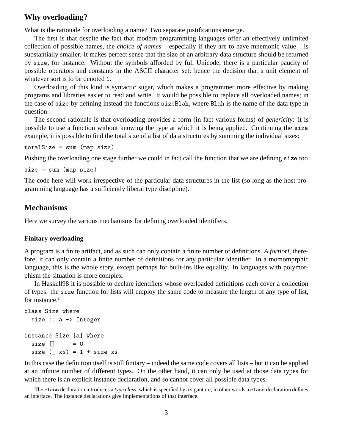## **Why overloading?**

What is the rationale for overloading a name? Two separate justifications emerge.

The first is that despite the fact that modern programming languages offer an effectively unlimited collection of possible names, the *choice of names* – especially if they are to have mnemonic value – is substantially smaller. It makes perfect sense that the size of an arbitrary data structure should be returned by size, for instance. Without the symbols afforded by full Unicode, there is a particular paucity of possible operators and constants in the ASCII character set; hence the decision that a unit element of whatever sort is to be denoted 1.

Overloading of this kind is syntactic sugar, which makes a programmer more effective by making programs and libraries easier to read and write. It would be possible to replace all overloaded names; in the case of size by defining instead the functions sizeBlah, where Blah is the name of the data type in question.

The second rationale is that overloading provides a form (in fact various forms) of *genericity*: it is possible to use a function without knowing the type at which it is being applied. Continuing the  example, it is possible to find the total size of a list of data structures by summing the individual sizes:

 $\mathbf{r}$  and  $\mathbf{r}$  and  $\mathbf{r}$  and  $\mathbf{r}$  and  $\mathbf{r}$  and  $\mathbf{r}$  and  $\mathbf{r}$  and  $\mathbf{r}$  and  $\mathbf{r}$  and  $\mathbf{r}$  and  $\mathbf{r}$  and  $\mathbf{r}$  and  $\mathbf{r}$  and  $\mathbf{r}$  and  $\mathbf{r}$  and  $\mathbf{r}$  and  $\mathbf{r}$  and

Pushing the overloading one stage further we could in fact call the function that we are defining size too

 

The code here will work irrespective of the particular data structures in the list (so long as the host programming language has a sufficiently liberal type discipline).

## **Mechanisms**

Here we survey the various mechanisms for defining overloaded identifiers.

#### **Finitary overloading**

A program is a finite artifact, and as such can only contain a finite number of definitions. *A fortiori*, therefore, it can only contain a finite number of definitions for any particular identifier. In a momomprphic language, this is the whole story, except perhaps for built-ins like equality. In languages with polymorphism the situation is more complex.

In Haskell98 it is possible to declare identifiers whose overloaded definitions each cover a collection of types: the size function for lists will employ the same code to measure the length of any type of list, for instance. $<sup>1</sup>$ </sup>

```
. The contract of the contract of the contract of the contract of the contract of the contract of the contract of the contract of the contract of the contract of the contract of the contract of the contract of the contract
. In the second contract of the second contract of the second contract of the second contract of the second contract of the second contract of the second contract of the second contract of the second contract of the second
                                                            = 0
 #$  %
         and the contract of the contract of the contract of the contract of the contract of the contract of the contract of the contract of the contract of the contract of the contract of the contract of the contract of the contra
```
In this case the definition itself is still finitary – indeed the same code covers all lists – but it can be applied at an infinite number of different types. On the other hand, it can only be used at those data types for which there is an explicit instance declaration, and so cannot cover all possible data types.

<sup>&</sup>lt;sup>1</sup>The class declaration introduces a *type class*, which is specified by a siganture; in other words a class declaration defines an interface. The instance declarations give implementations of that interface.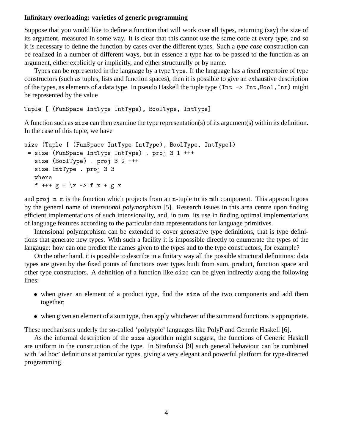### **Infinitary overloading: varieties of generic programming**

Suppose that you would like to define a function that will work over all types, returning (say) the size of its argument, measured in some way. It is clear that this cannot use the same code at every type, and so it is necessary to define the function by cases over the different types. Such a *type case* construction can be realized in a number of different ways, but in essence a type has to be passed to the function as an argument, either explicitly or implicitly, and either structurally or by name.

Types can be represented in the language by a type Type. If the language has a fixed repertoire of type constructors (such as tuples, lists and function spaces), then it is possible to give an exhaustive description of the types, as elements of a data type. In pseudo Haskell the tuple type  $(Int \rightarrow Int, Bool, Int)$  might be represented by the value

```
\frac{1}{2} . The \frac{1}{2} is the \frac{1}{2} in \frac{1}{2} in \frac{1}{2} in \frac{1}{2} in \frac{1}{2} in \frac{1}{2} in \frac{1}{2}
```
A function such as size can then examine the type representation(s) of its argument(s) within its definition. In the case of this tuple, we have

```
5120 (Iupio I (Iumpuos 11101)po 11101)po), boolijpo, 11101)poj/

 (! !-
 !-
 ) *  

   \blacksquare . The set of the set of the set of the set of the set of the set of the set of the set of the set of the set of the set of the set of the set of the set of the set of the set of the set of the set of the set of the

 !-
 ) *  
   ,  "  -
  ,   "
```
and proj n m is the function which projects from an n-tuple to its mth component. This approach goes by the general name of *intensional polymorphism* [5]. Research issues in this area centre upon finding efficient implementations of such intensionality, and, in turn, its use in finding optimal implementations of language features according to the particular data representations for language primitives.

Intensional polymprphism can be extended to cover generative type definitions, that is type definitions that generate new types. With such a facility it is impossible directly to enumerate the types of the langauge: how can one predict the names given to the types and to the type constructors, for example?

On the other hand, it is possible to describe in a finitary way all the possible structural definitions: data types are given by the fixed points of functions over types built from sum, product, function space and other type constructors. A definition of a function like size can be given indirectly along the following lines:

- when given an element of a product type, find the size of the two components and add them together;
- when given an element of a sum type, then apply whichever of the summand functions is appropriate.

These mechanisms underly the so-called 'polytypic' languages like PolyP and Generic Haskell [6].

As the informal description of the size algorithm might suggest, the functions of Generic Haskell are uniform in the construction of the type. In Strafunski [9] such general behaviour can be combined with 'ad hoc' definitions at particular types, giving a very elegant and powerful platform for type-directed programming.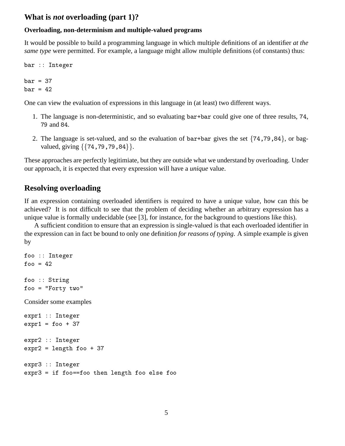## **What is** *not* **overloading (part 1)?**

### **Overloading, non-determinism and multiple-valued programs**

It would be possible to build a programming language in which multiple definitions of an identifier *at the same type* were permitted. For example, a language might allow multiple definitions (of constants) thus:

bar :: Integer  $bar = 37$  $bar = 42$ 

One can view the evaluation of expressions in this language in (at least) two different ways.

- 1. The language is non-deterministic, and so evaluating bar+bar could give one of three results, 74, 79 and 84.
- 2. The language is set-valued, and so the evaluation of bar+bar gives the set  $\{74, 79, 84\}$ , or bagvalued, giving  $\{\{74, 79, 79, 84\}\}.$

These approaches are perfectly legitimiate, but they are outside what we understand by overloading. Under our approach, it is expected that every expression will have a *unique* value.

## **Resolving overloading**

If an expression containing overloaded identifiers is required to have a unique value, how can this be achieved? It is not difficult to see that the problem of deciding whether an arbitrary expression has a unique value is formally undecidable (see [3], for instance, for the background to questions like this).

A sufficient condition to ensure that an expression is single-valued is that each overloaded identifier in the expression can in fact be bound to only one definition *for reasons of typing*. A simple example is given by

```
foo :: Integer
f \circ \circ = 42foo :: String,  0(-
0
Consider some examples
expr1 :: Integer
expr1 = foo + 37expr2 :: Integer\text{expr2} = \text{length} foo + 37
expr3 :: Integer
```
, ,, ! !" , ,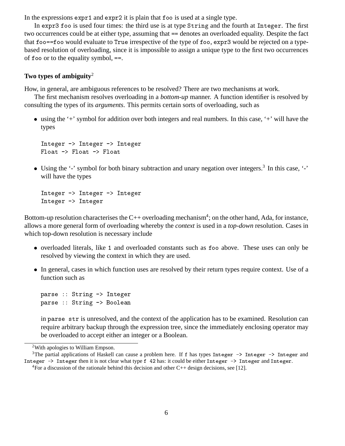In the expressions expr1 and  $\exp r2$  it is plain that foo is used at a single type.

In expr3 foo is used four times: the third use is at type String and the fourth at Integer. The first two occurrences could be at either type, assuming that == denotes an overloaded equality. Despite the fact that  $f \circ \circ = f \circ \circ$  would evaluate to True irrespective of the type of  $f \circ \circ$ , expr3 would be rejected on a typebased resolution of overloading, since it is impossible to assign a unique type to the first two occurrences of foo or to the equality symbol,  $==$ .

### **Two types of ambiguity**<sup>2</sup>

How, in general, are ambiguous references to be resolved? There are two mechanisms at work.

The first mechanism resolves overloading in a *bottom-up* manner. A function identifier is resolved by consulting the types of its *arguments*. This permits certain sorts of overloading, such as

 using the '+' symbol for addition over both integers and real numbers. In this case, '+' will have the types

Integer -> Integer -> Integer Float  $\rightarrow$  Float  $\rightarrow$  Float

• Using the '-' symbol for both binary subtraction and unary negation over integers.<sup>3</sup> In this case, '-' will have the types

```
Integer -> Integer -> Integer
Integer -> Integer
```
Bottom-up resolution characterises the C++ overloading mechanism<sup>4</sup>; on the other hand, Ada, for instance, allows a more general form of overloading whereby the *context* is used in a *top-down* resolution. Cases in which top-down resolution is necessary include

- overloaded literals, like 1 and overloaded constants such as foo above. These uses can only be resolved by viewing the context in which they are used.
- In general, cases in which function uses are resolved by their return types require context. Use of a function such as

 !" !" !" !

in parse str is unresolved, and the context of the application has to be examined. Resolution can require arbitrary backup through the expression tree, since the immediately enclosing operator may be overloaded to accept either an integer or a Boolean.

<sup>2</sup>With apologies to William Empson.

<sup>&</sup>lt;sup>3</sup>The partial applications of Haskell can cause a problem here. If f has types Integer -> Integer -> Integer and Integer -> Integer then it is not clear what type  ${\tt f}$  42 has: it could be either Integer -> Integer and Integer.

<sup>&</sup>lt;sup>4</sup>For a discussion of the rationale behind this decision and other  $C++$  design decisions, see [12].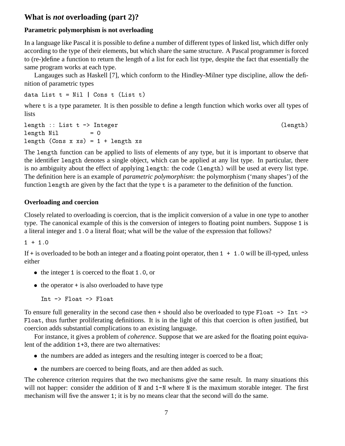## **What is** *not* **overloading (part 2)?**

## **Parametric polymorphism is not overloading**

In a language like Pascal it is possible to define a number of different types of linked list, which differ only according to the type of their elements, but which share the same structure. A Pascal programmer is forced to (re-)define a function to return the length of a list for each list type, despite the fact that essentially the same program works at each type.

Langauges such as Haskell [7], which conform to the Hindley-Milner type discipline, allow the definition of parametric types

 $1$  2  $2$  5  $2$  5  $2$  5  $2$  5  $2$  5  $2$  5  $2$  5  $2$  5  $2$  5  $2$  5  $2$  5  $2$  5  $2$  5  $2$  5  $2$  5  $2$  5  $2$  5  $2$  5  $2$  5  $2$  5  $2$  5  $2$  5  $2$  5  $2$  5  $2$  5  $2$  5  $2$  5  $2$  5  $2$  5  $2$  5  $2$  5  $2$  5  $2$  5  $2$  5  $2$  5  $2$  5

where t is a type parameter. It is then possible to define a length function which works over all types of lists

!" 2 !" !" length Nil  $= 0$ !" 5! !"

The length function can be applied to lists of elements of any type, but it is important to observe that the identifier length denotes a single object, which can be applied at any list type. In particular, there is no ambiguity about the effect of applying length: the code (length) will be used at every list type. The definition here is an example of *parametric polymorphism*: the polymorphism ('many shapes') of the function length are given by the fact that the type  $t$  is a parameter to the definition of the function.

## **Overloading and coercion**

Closely related to overloading is coercion, that is the implicit conversion of a value in one type to another type. The canonical example of this is the conversion of integers to floating point numbers. Suppose 1 is a literal integer and 1.0 a literal float; what will be the value of the expression that follows?

If  $+$  is overloaded to be both an integer and a floating point operator, then  $1 + 1$ . O will be ill-typed, unless either

- $\bullet$  the integer 1 is coerced to the float 1.0, or
- $\bullet$  the operator  $+$  is also overloaded to have type

Int  $\rightarrow$  Float  $\rightarrow$  Float

To ensure full generality in the second case then  $+$  should also be overloaded to type Float  $-$  Int  $-$ Float, thus further proliferating definitions. It is in the light of this that coercion is often justified, but coercion adds substantial complications to an existing language.

For instance, it gives a problem of *coherence*. Suppose that we are asked for the floating point equivalent of the addition  $1+3$ , there are two alternatives:

- the numbers are added as integers and the resulting integer is coerced to be a float;
- the numbers are coerced to being floats, and are then added as such.

The coherence criterion requires that the two mechanisms give the same result. In many situations this will not happer: consider the addition of  $N$  and  $1-N$  where  $N$  is the maximum storable integer. The first mechanism will five the answer 1; it is by no means clear that the second will do the same.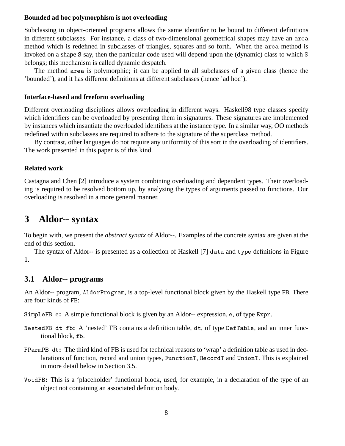### **Bounded ad hoc polymorphism is not overloading**

Subclassing in object-oriented programs allows the same identifier to be bound to different definitions in different subclasses. For instance, a class of two-dimensional geometrical shapes may have an method which is redefined in subclasses of triangles, squares and so forth. When the area method is invoked on a shape S say, then the particular code used will depend upon the (dynamic) class to which S belongs; this mechanism is called dynamic despatch.

The method area is polymorphic; it can be applied to all subclasses of a given class (hence the 'bounded'), and it has different definitions at different subclasses (hence 'ad hoc').

### **Interface-based and freeform overloading**

Different overloading disciplines allows overloading in different ways. Haskell98 type classes specify which identifiers can be overloaded by presenting them in signatures. These signatures are implemented by instances which insantiate the overloaded identifiers at the instance type. In a similar way, OO methods redefined within subclasses are required to adhere to the signature of the superclass method.

By contrast, other languages do not require any uniformity of this sort in the overloading of identifiers. The work presented in this paper is of this kind.

### **Related work**

Castagna and Chen [2] introduce a system combining overloading and dependent types. Their overloading is required to be resolved bottom up, by analysing the types of arguments passed to functions. Our overloading is resolved in a more general manner.

# **3 Aldor-- syntax**

To begin with, we present the *abstract synatx* of Aldor--. Examples of the concrete syntax are given at the end of this section.

The syntax of Aldor-- is presented as a collection of Haskell [7] data and type definitions in Figure 1.

## **3.1 Aldor-- programs**

An Aldor-- program, AldorProgram, is a top-level functional block given by the Haskell type FB. There are four kinds of FB:

SimpleFB e: A simple functional block is given by an Aldor-- expression, e, of type Expr.

- NestedFB dt fb: A 'nested' FB contains a definition table, dt, of type DefTable, and an inner functional block, fb.
- FParmPB dt: The third kind of FB is used for technical reasons to 'wrap' a definition table as used in declarations of function, record and union types, FunctionT, RecordT and UnionT. This is explained in more detail below in Section 3.5.
- VoidFB: This is a 'placeholder' functional block, used, for example, in a declaration of the type of an object not containing an associated definition body.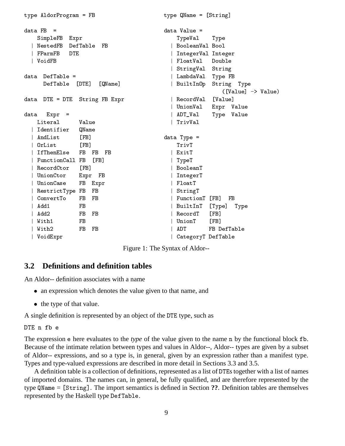```
-

		

                                                              -
 

data FB
                                                             data Value =
           =SimpleFB Expr
                                                                    -
 -
                                                                                      \mathbf{r} . The set of the set of the set of the set of the set of the set of the set of the set of the set of the set of the set of the set of the set of the set of the set of the set of the set of the set of the set of t
   | NestedFB DefTable FB
                                                                 | BooleanVal Bool
                   DTE
                                                                 | IntegerVal Integer
   ,我们就是一个人的人,我们就是一个人的人,我们就是一个人的人,我们就是一个人的人,我们就是一个人的人,我们就是一个人的人,我们就是一个人的人,我们就是一个人的人
   | VoidFB
                                                                 | FloatVal Double
   ■ Production Control Development Control Development Control Development Control Development Control Developmen
                                                                 | StringVal String
data DefTable =
                                                                 | LambdaVal
                                                                                   Type FB
        DefTable [DTE] [QName] | BuiltInOp
                                                                  "# $ 	  -

                                                                                       ([Value] \rightarrow Value)
data DTE = DTE String FB Expr
                                                                 | RecordVal [Value]
                                                                 | UnionVal Expr Value
data Expr =
                                                                 deciments are the contract of the contract of the contract of the contract of the contract of the contract of the contract of the contract of the contract of the contract of the contract of the contract of the contract of 
     Literal Value
                                                                 | TrivVal
   | Identifier QName
     ! 
                                                               -

   | OrList [FB] #%    
                                                                 \overline{a} , and \overline{a} , and \overline{a} , and \overline{a} , and \overline{a} , and \overline{a} , and \overline{a} , and \overline{a} , and \overline{a} , and \overline{a} , and \overline{a} , and \overline{a} , and \overline{a} , and \overline{a} , and \overline{a} , 
   | FunctionCall FB [FB]
                                                                  -

   | RecordCtor [FB]
                                                                 | BooleanT
   | UnionCtor Expr FB
                                                                | IntegerT
   | UnionCase FB Expr
                                                                | FloatT
                                                                 | StringT
   \mathbf{A} \mathbf{B}| ConvertTo FB FB
                                                                 | FunctionT [FB] FB
   | Add1
                        FB + 
                                                                  "#  -
 -

                                                                 RecordT [FB]
    ,  
    -%+ 
                                                                  )   
                                                                 | ADT FB DefTable
   \sim , and the set of the set of the set of the set of the set of the set of the set of the set of the set of the set of the set of the set of the set of the set of the set of the set of the set of the set of the set of t
   | VoidExpr
                                                                 | CategoryT DefTable
```
Figure 1: The Syntax of Aldor--

## **3.2 Definitions and definition tables**

An Aldor-- definition associates with a name

- an expression which denotes the value given to that name, and
- the type of that value.

A single definition is represented by an object of the DTE type, such as

## DTE n fb e

The expression e here evaluates to the *type* of the value given to the name n by the functional block fb. Because of the intimate relation between types and values in Aldor--, Aldor-- types are given by a subset of Aldor-- expressions, and so a type is, in general, given by an expression rather than a manifest type. Types and type-valued expressions are described in more detail in Sections 3.3 and 3.5.

A definition table is a collection of definitions, represented as a list of DTEs together with a list of names of imported domains. The names can, in general, be fully qualified, and are therefore represented by the type  $QName = [String]$ . The import semantics is defined in Section **??**. Definition tables are themselves represented by the Haskell type DefTable.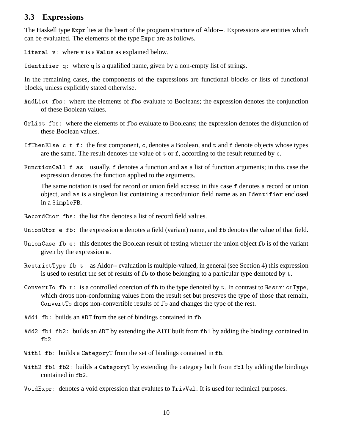## **3.3 Expressions**

The Haskell type Expr lies at the heart of the program structure of Aldor--. Expressions are entities which can be evaluated. The elements of the type Expr are as follows.

Literal  $v:$  where  $v$  is a Value as explained below.

Identifier  $q$ : where  $q$  is a qualified name, given by a non-empty list of strings.

In the remaining cases, the components of the expressions are functional blocks or lists of functional blocks, unless explicitly stated otherwise.

- AndList fbs: where the elements of fbs evaluate to Booleans; the expression denotes the conjunction of these Boolean values.
- OrList fbs: where the elements of fbs evaluate to Booleans; the expression denotes the disjunction of these Boolean values.
- If Then Else c t f: the first component, c, denotes a Boolean, and t and f denote objects whose types are the same. The result denotes the value of  $t$  or  $f$ , according to the result returned by  $c$ .
- FunctionCall f as: usually, f denotes a function and as a list of function arguments; in this case the expression denotes the function applied to the arguments.

The same notation is used for record or union field access; in this case f denotes a record or union object, and as is a singleton list containing a record/union field name as an Identifier enclosed in a SimpleFB.

- : the list fbs denotes a list of record field values.
- UnionCtor  $\epsilon$  fb: the expression  $\epsilon$  denotes a field (variant) name, and  $\epsilon$  denotes the value of that field.
- UnionCase fbe: this denotes the Boolean result of testing whether the union object fb is of the variant given by the expression e.
- RestrictType fb t: as Aldor-- evaluation is multiple-valued, in general (see Section 4) this expression is used to restrict the set of results of  $\bar{f}b$  to those belonging to a particular type dentoted by  $\bar{f}$ .
- ConvertTo fb t: is a controlled coercion of fb to the type denoted by t. In contrast to RestrictType, which drops non-conforming values from the result set but preseves the type of those that remain, Convert To drops non-convertible results of fb and changes the type of the rest.
- Add1 fb: builds an ADT from the set of bindings contained in fb.
- Add2 fb1 fb2: builds an ADT by extending the ADT built from fb1 by adding the bindings contained in  $fb2.$
- With1 fb: builds a CategoryT from the set of bindings contained in fb.
- With2 fb1 fb2: builds a CategoryT by extending the category built from fb1 by adding the bindings contained in  $fb2$ .
- VoidExpr: denotes a void expression that evalutes to TrivVal. It is used for technical purposes.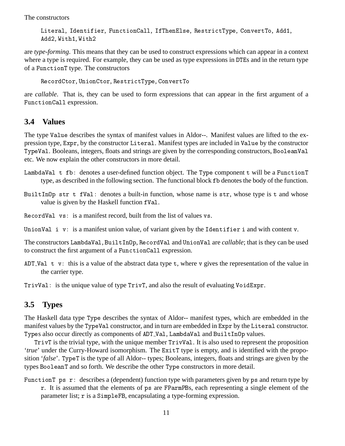The constructors

Literal, Identifier, FunctionCall, IfThenElse, RestrictType, ConvertTo, Add1, Add2, With1, With2

are *type-forming*. This means that they can be used to construct expressions which can appear in a context where a type is required. For example, they can be used as type expressions in DTEs and in the return type of a FunctionT type. The constructors

 $\verb|RecordCtor, UnionCtor, Restrictype, ConvertTo$ 

are *callable*. That is, they can be used to form expressions that can appear in the first argument of a FunctionCall expression.

## **3.4 Values**

The type Value describes the syntax of manifest values in Aldor--. Manifest values are lifted to the expression type, Expr, by the constructor Literal. Manifest types are included in Value by the constructor TypeVa1. Booleans, integers, floats and strings are given by the corresponding constructors, Boo1eanVa1 etc. We now explain the other constructors in more detail.

- <code>LambdaVal t fb</code> : denotes a user-defined function object. The Type component <code>t</code> will be a <code>FunctionT</code> type, as described in the following section. The functional block fb denotes the body of the function.
- BuiltInOp str t fVal: denotes a built-in function, whose name is str, whose type is t and whose value is given by the Haskell function fVal.
- :1< > : is a manifest record, built from the list of values vs.

Union Val  $i$  v: is a manifest union value, of variant given by the Identifier i and with content v.

The constructors LambdaVal, BuiltInOp, RecordVal and UnionVal are *callable*; that is they can be used to construct the first argument of a FunctionCall expression.

- ADT\_Val  $t$  v: this is a value of the abstract data type  $t$ , where  $v$  gives the representation of the value in the carrier type.
- $TrivVal:$  is the unique value of type  $TrivT$ , and also the result of evaluating  $VoidExpr$ .

## **3.5 Types**

The Haskell data type Type describes the syntax of Aldor-- manifest types, which are embedded in the manifest values by the TypeVa1 constructor, and in turn are embedded in Expr by the Litera1 constructor. Types also occur directly as components of ADT\_Va1, LambdaVa1 and BuiltInOp values.

 $TrivT$  is the trivial type, with the unique member  $TrivVal$ . It is also used to represent the proposition '*true*' under the Curry-Howard isomorphism. The ExitT type is empty, and is identified with the proposition '*false*'. TypeT is the type of all Aldor-- types; Booleans, integers, floats and strings are given by the types BooleanT and so forth. We describe the other Type constructors in more detail.

FunctionT ps r: describes a (dependent) function type with parameters given by ps and return type by r. It is assumed that the elements of ps are FParmPBs, each representing a single element of the parameter list; r is a SimpleFB, encapsulating a type-forming expression.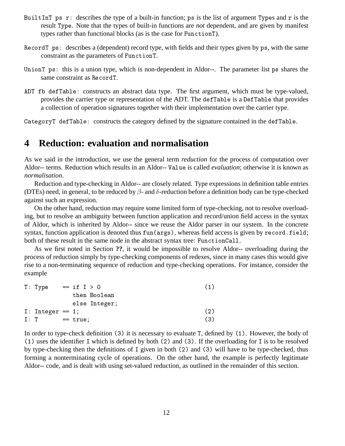- BuiltInT ps r: describes the type of a built-in function; ps is the list of argument Types and r is the result Type. Note that the types of built-in functions are *not* dependent, and are given by manifest types rather than functional blocks (as is the case for FunctionT).
- RecordT ps: describes a (dependent) record type, with fields and their types given by ps, with the same constraint as the parameters of FunctionT.
- UnionT ps: this is a union type, which is non-dependent in Aldor--. The parameter list ps shares the same constraint as RecordT.
- ADT fb defTable: constructs an abstract data type. The first argument, which must be type-valued, provides the carrier type or representation of the ADT. The defTable is a DefTable that provides a collection of operation signatures together with their implementation over the carrier type.

CategoryT defTable: constructs the category defined by the signature contained in the defTable.

## **4 Reduction: evaluation and normalisation**

As we said in the introduction, we use the general term *reduction* for the process of computation over Aldor-- terms. Reduction which results in an Aldor-- Value is called *evaluation*; otherwise it is known as *normalisation*.

Reduction and type-checking in Aldor-- are closely related. Type expressions in definition table entries (DTEs) need, in general, to be reduced by  $\beta$ - and  $\delta$ -reduction before a definition body can be type-checked against such an expression.

On the other hand, reduction may require some limited form of type-checking, not to resolve overloading, but to resolve an ambiguity between function application and record/union field access in the syntax of Aldor, which is inherited by Aldor-- since we reuse the Aldor parser in our system. In the concrete syntax, function application is denoted thus  $\texttt{fun}(\texttt{args})$ , whereas field access is given by  $\texttt{record}$  . <code>field;</code> both of these result in the same node in the abstract syntax tree: FunctionCall.

As we first noted in Section **??**, it would be impossible to resolve Aldor-- overloading during the process of reduction simply by type-checking components of redexes, since in many cases this would give rise to a non-terminating sequence of reduction and type-checking operations. For instance, consider the example

| T: Type             | $== if I > 0$ | (1) |
|---------------------|---------------|-----|
|                     | then Boolean  |     |
|                     | else Integer; |     |
| I: Integer == $1$ ; |               | (2) |
| I: T                | $== true:$    | (3) |

In order to type-check definition  $(3)$  it is necessary to evaluate T, defined by  $(1)$ . However, the body of (1) uses the identifier I which is defined by both  $(2)$  and  $(3)$ . If the overloading for I is to be resolved by type-checking then the definitions of  $I$  given in both  $(2)$  and  $(3)$  will have to be type-checked, thus forming a nonterminating cycle of operations. On the other hand, the example is perfectly legitimate Aldor-- code, and is dealt with using set-valued reduction, as outlined in the remainder of this section.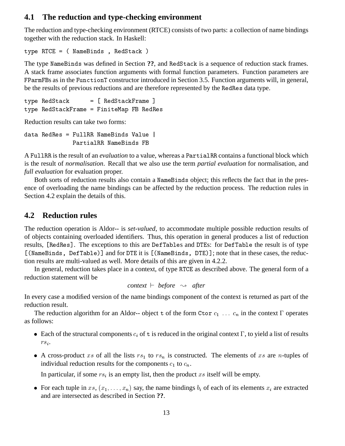## **4.1 The reduction and type-checking environment**

The reduction and type-checking environment (RTCE) consists of two parts: a collection of name bindings together with the reduction stack. In Haskell:

- :58 3!1 ' :1C

The type NameBinds was defined in Section ??, and RedStack is a sequence of reduction stack frames. A stack frame associates function arguments with formal function parameters. Function parameters are FParmFBs as in the FunctionT constructor introduced in Section 3.5. Function arguments will, in general, be the results of previous reductions and are therefore represented by the RedRes data type.

```
-1C \, :1C \, :1C \, :1C \, :1C \, :1C \, :1C \, :1C \, :1C \, :1C \, :1C \, :1C \, :1C \, :1C \, :1C \, :1C \, :1C \, :1C \, :1C \, :1C \, :1C \, :1C \, :1C \, :1C \, :1C -
 :1C(  (!D ( :1:
```
Reduction results can take two forms:

```
1 :1:
  (:: 3!1
< 4
       PartialRR NameBinds FB
```
A FullRR is the result of an *evaluation* to a value, whereas a PartialRR contains a functional block which is the result of *normalisation*. Recall that we also use the term *partial evaluation* for normalisation, and *full evaluation* for evaluation proper.

Both sorts of reduction results also contain a NameBinds object; this reflects the fact that in the presence of overloading the name bindings can be affected by the reduction process. The reduction rules in Section 4.2 explain the details of this.

## **4.2 Reduction rules**

The reduction operation is Aldor-- is *set-valued*, to accommodate multiple possible reduction results of of objects containing overloaded identifiers. Thus, this operation in general produces a list of reduction results, [RedRes]. The exceptions to this are DefTables and DTEs: for DefTable the result is of type [(NameBinds, DefTable)] and for DTE it is [(NameBinds, DTE)]; note that in these cases, the reduction results are multi-valued as well. More details of this are given in 4.2.2.

In general, reduction takes place in a context, of type RTCE as described above. The general form of a reduction statement will be

```
context \vdash before \leadsto after
```
In every case a modified version of the name bindings component of the context is returned as part of the reduction result.

The reduction algorithm for an Aldor-- object t of the form Ctor  $c_1$  ...  $c_n$  in the context  $\Gamma$  operates as follows:

- Each of the structural components  $c_i$  of t is reduced in the original context  $\Gamma$ , to yield a list of results  $rs_i$ . .
- A cross-product xs of all the lists  $rs_1$  to  $rs_n$  is constructed. The elements of xs are n-tuples of individual reduction results for the components  $c_1$  to  $c_n$ .

In particular, if some  $rs_i$  is an empty list, then the product  $xs$  itself will be empty.

• For each tuple in  $xs, (x_1, \ldots, x_n)$  say, the name bindings  $b_i$  of each of its elements  $x_i$  are extracted and are intersected as described in Section **??**.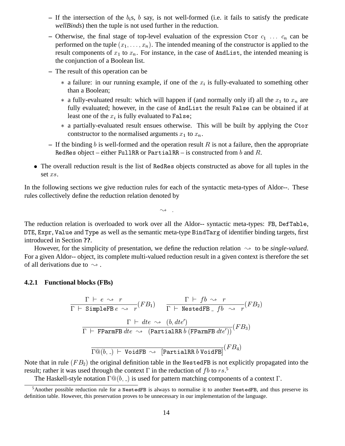- $-$  If the intersection of the  $b_i$ s,  $b$  say, is not well-formed (i.e. it fails to satisfy the predicate *wellBinds*) then the tuple is not used further in the reduction.
- $-$  Otherwise, the final stage of top-level evaluation of the expression Ctor  $c_1$  ...  $c_n$  can be performed on the tuple  $(x_1, \ldots, x_n)$ . The intended meaning of the constructor is applied to the result components of  $x_1$  to  $x_n$ . For instance, in the case of AndList, the intended meaning is the conjunction of a Boolean list.
- **–** The result of this operation can be
	- $*$  a failure: in our running example, if one of the  $x_i$  is fully-evaluated to something other than a Boolean;
	- \* a fully-evaluated result: which will happen if (and normally only if) all the  $x_1$  to  $x_n$  are fully evaluated; however, in the case of AndList the result False can be obtained if at least one of the  $x_i$  is fully evaluated to False;
	- \* a partially-evaluated result ensues otherwise. This will be built by applying the Ctor contstructor to the normalised arguments  $x_1$  to  $x_n$ .
- $-$  If the binding b is well-formed and the operation result R is not a failure, then the appropriate RedRes object – either FullRR or PartialRR – is constructed from  $b$  and  $R.$
- The overall reduction result is the list of RedRes objects constructed as above for all tuples in the set  $xs$ .

In the following sections we give reduction rules for each of the syntactic meta-types of Aldor--. These rules collectively define the reduction relation denoted by

The reduction relation is overloaded to work over all the Aldor-- syntactic meta-types: FB, DefTable, DTE, Expr, Value and Type as well as the semantic meta-type BindTarg of identifier binding targets, first introduced in Section **??**.

However, for the simplicity of presentation, we define the reduction relation  $\rightsquigarrow$  to be *single-valued*. For a given Aldor-- object, its complete multi-valued reduction result in a given context is therefore the set of all derivations due to  $\sim$ .

#### **4.2.1 Functional blocks (FBs)**

$$
\frac{\Gamma \vdash e \leadsto r}{\Gamma \vdash \text{SimpleFB } e \leadsto r} (FB_1) \qquad \frac{\Gamma \vdash fb \leadsto r}{\Gamma \vdash \text{NestedFB }_{} \ f b \leadsto r} (FB_2)
$$
\n
$$
\frac{\Gamma \vdash dte \leadsto (b, dte')}{\Gamma \vdash \text{FParmFB } dte \leadsto (\text{PartialRR } b (\text{FParmFB } dte'))} (FB_3)
$$
\n
$$
\frac{\Gamma \otimes (b, \_) \vdash \text{VoidFB } \leadsto [\text{PartialRR } b \text{ VoidFB}]}{(FB_4)}
$$

Note that in rule  $(FB_2)$  the original definition table in the <code>NestedFB</code> is not explicitly propagated into the result; rather it was used through the context  $\Gamma$  in the reduction of fb to rs.<sup>5</sup>

The Haskell-style notation  $\Gamma @ (b, )$  is used for pattern matching components of a context  $\Gamma.$ 

 $5$ Another possible reduction rule for a NestedFB is always to normalise it to another NestedFB, and thus preserve its definition table. However, this preservation proves to be unnecessary in our implementation of the language.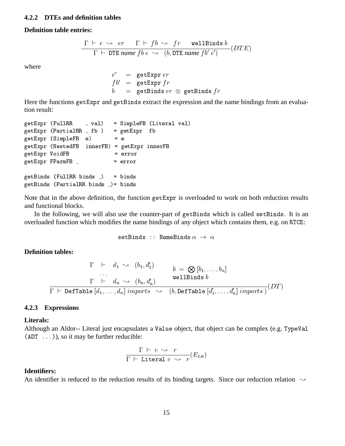#### **4.2.2 DTEs and definition tables**

#### **Definition table entries:**

$$
\frac{\Gamma \vdash e \leadsto er \quad \Gamma \vdash fb \leadsto \text{ fr} \quad \text{wellBinds } b}{\Gamma \vdash \text{ DTE name } fb \; e \leadsto \; (b, \text{DTE name } fb' \; e')} (DTE)
$$

where

$$
\begin{array}{rcl} e' & = & \texttt{getExpert} \\\ f b' & = & \texttt{getExpert} \ f r \\ b & = & \texttt{getBinds} \ er \ \otimes \ \texttt{getBinds} \ fr \end{array}
$$

Here the functions getExpr and getBinds extract the expression and the name bindings from an evaluation result:

```
getExpert (FullRR  = val) = SimpleFB (Literal val)
\mathbb{R} . The contract of \mathbb{R} is the set of \mathbb{R} . The contract of \mathbb{R} is the contract of \mathbb{R} . The contract of \mathbb{R} is the contract of \mathbb{R} is the contract of \mathbb{R} is the contract of \mathbb{getExpr (SimpleFB e) = e
getExpr (NestedFB innerFB) = getExpr innerFB
getExpr VoidFB = error

	

getBinds (FullRR binds _) = binds
  .
	((   1
```
Note that in the above definition, the function getExpr is overloaded to work on both reduction results and functional blocks.

In the following, we will also use the counter-part of getBinds which is called setBinds. It is an overloaded function which modifies the name bindings of any object which contains them, e.g. on RTCE:

```

!1
  3!1
```
### **Definition tables:**

$$
\begin{array}{ccc}\n\Gamma & \vdash & d_1 \leadsto & (b_1, d'_1) \\
\vdots & & \vdots \\
\Gamma & \vdash & d_n \leadsto & (b_n, d'_n) \\
\hline\n\Gamma & \vdash & D \text{effable } [d_1, \ldots, d_n] \text{ import } s \leadsto & (b, D \text{effable } [d'_1, \ldots, d'_n] \text{ import } s)\n\end{array}
$$
\n(DT)

### **4.2.3 Expressions**

#### **Literals:**

Although an Aldor-- Literal just encapsulates a Value object, that object can be complex (e.g. TypeVal  $(ADT \dots)$ , so it may be further reducible:

$$
\dfrac{\Gamma\;\vdash\;v\;\rightsquigarrow\;r}{\Gamma\;\vdash\; \mathtt{Literal}\;v\;\rightsquigarrow\;r}(E_{Lit})
$$

#### **Identifiers:**

An identifier is reduced to the reduction results of its binding targets. Since our reduction relation  $\sim$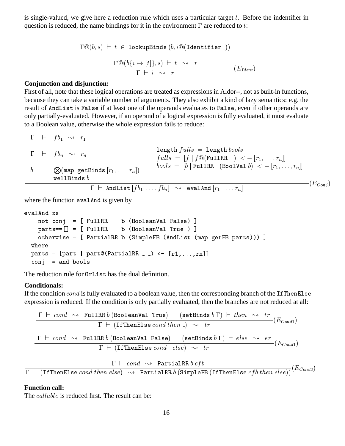is single-valued, we give here a reduction rule which uses a particular target  $t$ . Before the indentifier in question is reduced, the name bindings for it in the environment  $\Gamma$  are reduced to t:

```
-
	    	 C!1
 -
	 -
 1!, 
      1 \cup (0 \{i \mapsto |l|\}, S) \sqsubset l \sim \sim T-
```
### **Conjunction and disjunction:**

First of all, note that these logical operations are treated as expressions in Aldor--, not as built-in functions, because they can take a variable number of arguments. They also exhibit a kind of lazy semantics: e.g. the result of AndList is False if at least one of the operands evaluates to False, even if other operands are only partially-evaluated. However, if an operand of a logical expression is fully evaluated, it must evaluate to a Boolean value, otherwise the whole expression fails to reduce:

$$
\Gamma \vdash f b_1 \rightsquigarrow r_1
$$
\n
$$
\Gamma \vdash f b_n \rightsquigarrow r_n
$$
\n
$$
b = \bigotimes(\text{map getBinds} [r_1, \ldots, r_n])
$$
\n
$$
\text{wellBinds } b
$$
\n
$$
\Gamma \vdash \text{AndList} [f b_1, \ldots, f b_n] \rightsquigarrow \text{evalAnd} [r_1, \ldots, r_n]
$$
\n
$$
\text{evalBinds } b
$$
\n
$$
\Gamma \vdash \text{AndList} [f b_1, \ldots, b_n] \rightsquigarrow \text{evalAnd} [r_1, \ldots, r_n]
$$
\n
$$
(E_{Conj})
$$

 $\mathbf{r}$ 

where the function eval And is given by

```
evalAnd xs
4 ! !*  # (:: - !< (
 $
4 
#$  # (:: - !<   $
4 
  # 7:: - ( 6!12
  "( 
 $
where

  # 4 E7::  F #
')))'!$$
\text{conj} = and bools
```
The reduction rule for OrList has the dual definition.

#### **Conditionals:**

If the condition  $cond$  is fully evaluated to a boolean value, then the corresponding branch of the If ThenEls expression is reduced. If the condition is only partially evaluated, then the branches are not reduced at all:

$$
\frac{\Gamma \vdash cond \rightsquigarrow \text{FullRR } b \text{ (BooleanVal True)} \quad (\text{setBinds } b \Gamma) \vdash then \rightsquigarrow tr}{\Gamma \vdash (\text{IfThenElse } cond\ then\ \_) \rightsquigarrow tr} (E_{Cond1})
$$
\n
$$
\frac{\Gamma \vdash cond \rightsquigarrow \text{FullRR } b \text{ (BooleanVal False)} \quad (\text{setBinds } b \Gamma) \vdash else \rightsquigarrow er}{\Gamma \vdash (\text{IfThenElse } cond\_\text{else}) \rightsquigarrow tr} (E_{Cond1})
$$
\n
$$
\frac{\Gamma \vdash cond \rightsquigarrow \text{PartialRR } b\ cfb}{\Gamma \vdash cond \rightsquigarrow \text{ PartialRR } b\ cfb} (E_{Card2})
$$

 $\Gamma ~\vdash~$  (IfThenElse  $cond~then~else)~\leadsto~$  PartialRR  $b$  (SimpleFB (IfThenElse  $cfb~then~else$  ))\  $^{0.00437}$ 

#### **Function call:**

The *callable* is reduced first. The result can be: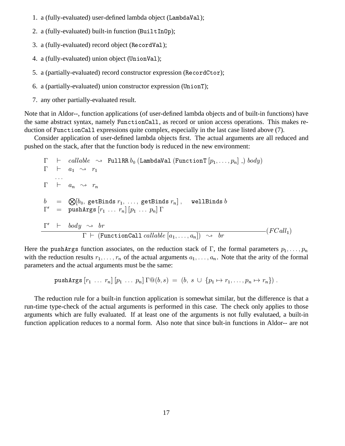- 1. a (fully-evaluated) user-defined lambda object (LambdaVa1);
- 2. a (fully-evaluated) built-in function ( $\text{BuilderOp}$ );
- 3. a (fully-evaluated) record object (RecordVal);
- 4. a (fully-evaluated) union object (UnionVal);
- 5. a (partially-evaluated) record constructor expression (RecordCtor);
- 6. a (partially-evaluated) union constructor expression (UnionT);
- 7. any other partially-evaluated result.

Note that in Aldor--, function applications (of user-defined lambda objects and of built-in functions) have the same abstract syntax, namely Function Call, as record or union access operations. This makes reduction of FunctionCall expressions quite complex, especially in the last case listed above (7).

Consider application of user-defined lambda objects first. The actual arguments are all reduced and pushed on the stack, after that the function body is reduced in the new environment:

 $\begin{array}{ccc} \n\sqrt{1+\frac{1}{2}} & \frac{1}{2} & \frac{1}{2} & \frac{1}{2} & \frac{1}{2} & \frac{1}{2} & \frac{1}{2} & \frac{1}{2} & \frac{1}{2} & \frac{1}{2} & \frac{1}{2} & \frac{1}{2} & \frac{1}{2} & \frac{1}{2} & \frac{1}{2} & \frac{1}{2} & \frac{1}{2} & \frac{1}{2} & \frac{1}{2} & \frac{1}{2} & \frac{1}{2} & \frac{1}{2} & \frac{1}{2} & \frac{1}{2} & \frac{1}{2} & \frac{1}{2}$  $\Gamma$   $\vdash$   $a_1 \rightsquigarrow r_1$  $\blacksquare$  . The set of the set of the set of the set of the set of the set of the set of the set of the set of the set of the set of the set of the set of the set of the set of the set of the set of the set of the set of the  $b = \bigotimes [b_0, \text{ getBinds } r_1, \ldots, \text{ getBinds } r_n], \quad \text{ wellBinds}$  $1 = \text{pusnargs } |r_1| \ldots r_n | |p_1| \ldots p_n | 1$  $1 \quad \rightarrow \quad \text{or}$  $\Gamma \vdash (\texttt{FunctionCall}~{callable}~[a_1, \ldots, a_n]) \rightsquigarrow ~br$ 

Here the pushargs function associates, on the reduction stack of  $\Gamma$ , the formal parameters  $p_1, \ldots, p_n$ with the reduction results  $r_1, \ldots, r_n$  of the actual arguments  $a_1, \ldots, a_n$ . Note that the arity of the formal parameters and the actual arguments must be the same:

6" - - 

The reduction rule for a built-in function application is somewhat similar, but the difference is that a run-time type-check of the actual arguments is performed in this case. The check only applies to those arguments which are fully evaluated. If at least one of the arguments is not fully evalutaed, a built-in function application reduces to a normal form. Also note that since bult-in functions in Aldor-- are not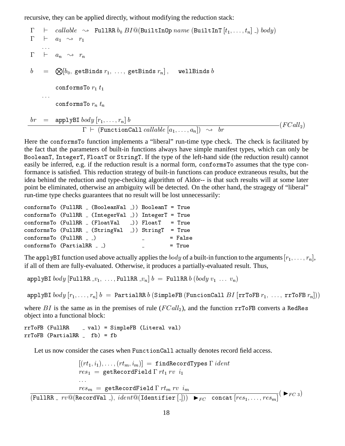recursive, they can be applied directly, without modifying the reduction stack:

$$
\Gamma \vdash callable \rightsquigarrow \text{FullRR } b_0 \ B I @ (Builder \text{Builder}[t_1, \dots, t_n] \text{)} body)
$$
\n
$$
\Gamma \vdash a_1 \rightsquigarrow r_1
$$
\n
$$
\dots
$$
\n
$$
b = \bigotimes [b_0, \text{getBinds } r_1, \dots, \text{getBinds } r_n], \text{ wellBinds } b
$$
\n
$$
\text{conformsTo } r_1 \ t_1
$$
\n
$$
\dots
$$
\n
$$
br = apply \text{B} I body } [r_1, \dots, r_n] b
$$
\n
$$
\Gamma \vdash (\text{FunctionCall callable } [a_1, \dots, a_n]) \rightsquigarrow br
$$
\n
$$
(FCall_2)
$$

Here the conforms To function implements a "liberal" run-time type check. The check is facilitated by the fact that the parameters of built-in functions always have simple manifest types, which can only be BooleanT, IntegerT, FloatT or StringT. If the type of the left-hand side (the reduction result) cannot easily be inferred, e.g. if the reduction result is a normal form, conformsTo assumes that the type conformance is satisfied. This reduction strategy of built-in functions can produce extraneous results, but the idea behind the reduction and type-checking algorithm of Aldor-- is that such results will at some later point be eliminated, otherwise an ambiguity will be detected. On the other hand, the stragegy of "liberal" run-time type checks guarantees that no result will be lost unnecessarily:

 $\mathbf{r}$  and  $\mathbf{r}$  and  $\mathbf{r}$  and  $\mathbf{r}$  and  $\mathbf{r}$  and  $\mathbf{r}$  and  $\mathbf{r}$  and  $\mathbf{r}$  and  $\mathbf{r}$  and  $\mathbf{r}$  and  $\mathbf{r}$  and  $\mathbf{r}$  and  $\mathbf{r}$  and  $\mathbf{r}$  and  $\mathbf{r}$  and  $\mathbf{r}$  and  $\mathbf{r}$  and

| conformsTo (FullRR _ (BooleanVal _)) BooleanT = True |                                 |           |
|------------------------------------------------------|---------------------------------|-----------|
| conformsTo (FullRR _ (IntegerVal _)) IntegerT = True |                                 |           |
| $conformsTo (FullRR (FloatVal)) FloatT = True$       |                                 |           |
| conformsTo (FullRR _ (StringVal _)) StringT = True   |                                 |           |
| conformsTo (FullRR _ _)                              | <b>Contract Contract Street</b> | $=$ False |
| conformsTo (PartialRR _ _)                           | and the company of the company  | $=$ True  |

The app1yBI function used above actually applies the  $body$  of a built-in function to the arguments  $[r_1,\ldots, r_n],$ if all of them are fully-evaluated. Otherwise, it produces a partially-evaluated result. Thus,

- (:: (:: (:: - 

- 7:: -( -(!!5 ! ( (

where BI is the same as in the premises of rule  $(FCall_2)$ , and the function  $rrToFB$  converts a RedRes object into a functional block:

 $rrToFB$  (FullRR  $_$  val) = SimpleFB (Literal val) .  (( 1

Let us now consider the cases when Function Call actually denotes record field access.

```
-
      -
   ,!1:1-

res_1 = \text{getRecordField} \Gamma rt_1 rv i_1  ":1(1
```
(FullRR \_  $rv@(\texttt{RecordVal\_}),\,ident@(\texttt{Identifier\_}|))$   $\blacktriangleright_{FC}$  concat $\vert res_1,\ldots,res_m \vert$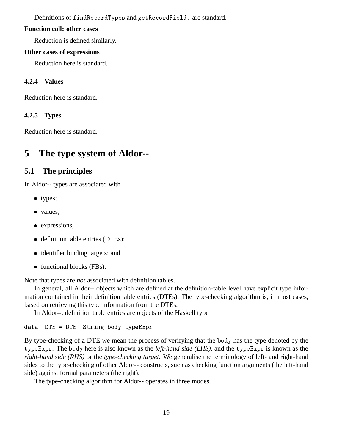Definitions of f indRecordTypes and getRecordField. are standard.

### **Function call: other cases**

Reduction is defined similarly.

## **Other cases of expressions**

Reduction here is standard.

## **4.2.4 Values**

Reduction here is standard.

## **4.2.5 Types**

Reduction here is standard.

# **5 The type system of Aldor--**

## **5.1 The principles**

In Aldor-- types are associated with

- types;
- values:
- expressions;
- definition table entries (DTEs);
- identifier binding targets; and
- functional blocks (FBs).

Note that types are *not* associated with definition tables.

In general, all Aldor-- objects which are defined at the definition-table level have explicit type information contained in their definition table entries (DTEs). The type-checking algorithm is, in most cases, based on retrieving this type information from the DTEs.

In Aldor--, definition table entries are objects of the Haskell type

1 98 98 !" -1--8

By type-checking of a DTE we mean the process of verifying that the body has the type denoted by the typeExpr. The body here is also known as the *left-hand side (LHS)*, and the typeExpr is known as the *right-hand side (RHS)* or the *type-checking target*. We generalise the terminology of left- and right-hand sides to the type-checking of other Aldor-- constructs, such as checking function arguments (the left-hand side) against formal parameters (the right).

The type-checking algorithm for Aldor-- operates in three modes.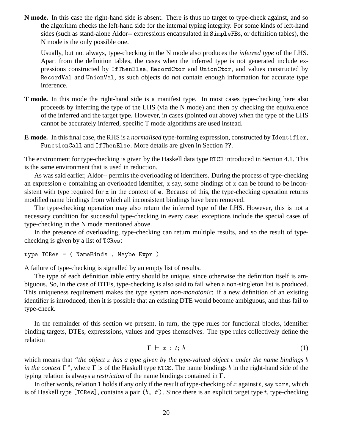**N mode.** In this case the right-hand side is absent. There is thus no target to type-check against, and so the algorithm checks the left-hand side for the internal typing integrity. For some kinds of left-hand sides (such as stand-alone Aldor-- expressions encapsulated in SimpleFBs, or definition tables), the N mode is the only possible one.

Usually, but not always, type-checking in the N mode also produces the *inferred type* of the LHS. Apart from the definition tables, the cases when the inferred type is not generated include expressions constructed by IfThenElse, RecordCtor and UnionCtor, and values constructed by RecordVal and UnionVal, as such objects do not contain enough information for accurate type inference.

- **T mode.** In this mode the right-hand side is a manifest type. In most cases type-checking here also proceeds by inferring the type of the LHS (via the N mode) and then by checking the equivalence of the inferred and the target type. However, in cases (pointed out above) when the type of the LHS cannot be accurately inferred, specific T mode algorithms are used instead.
- **E mode.** In this final case, the RHS is a *normalised* type-forming expression, constructed by Identifier, FunctionCall and IfThenElse. More details are given in Section **??**.

The environment for type-checking is given by the Haskell data type RTCE introduced in Section 4.1. This is the same environment that is used in reduction.

As was said earlier, Aldor-- permits the overloading of identifiers. During the process of type-checking an expression  $e$  containing an overloaded identifier, x say, some bindings of x can be found to be inconsistent with type required for x in the context of e. Because of this, the type-checking operation returns modified name bindings from which all inconsistent bindings have been removed.

The type-checking operation may also return the inferred type of the LHS. However, this is not a necessary condition for successful type-checking in every case: exceptions include the special cases of type-checking in the N mode mentioned above.

In the presence of overloading, type-checking can return multiple results, and so the result of typechecking is given by a list of TCRes:

- 5: 3!1 ' D-- 8

A failure of type-checking is signalled by an empty list of results.

The type of each definition table entry should be unique, since otherwise the definition itself is ambiguous. So, in the case of DTEs, type-checking is also said to fail when a non-singleton list is produced. This uniqueness requirement makes the type system *non-monotonic*: if a new definition of an existing identifier is introduced, then it is possible that an existing DTE would become ambiguous, and thus fail to type-check.

In the remainder of this section we present, in turn, the type rules for functional blocks, identifier binding targets, DTEs, expresssions, values and types themselves. The type rules collectively define the relation

$$
\Gamma \vdash x : t; b \tag{1}
$$

which means that *"the object* x has a type given by the type-valued object t under the name bindings b *in the context*  $\Gamma$ ", where  $\Gamma$  is of the Haskell type RTCE. The name bindings *b* in the right-hand side of the typing relation is always a *restriction* of the name bindings contained in  $\Gamma$ .

In other words, relation 1 holds if any only if the result of type-checking of  $x$  against  $t$ , say  $\tt{crs}$ , which is of Haskell type [TCRes], contains a pair  $(b, t')$ . Since there is an explicit target type t, type-checking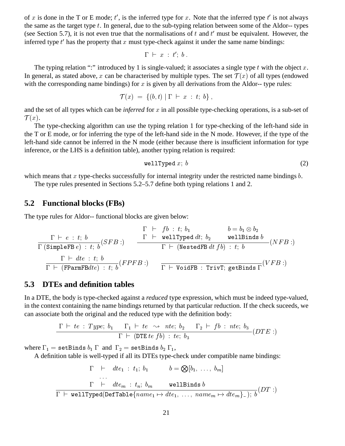of x is done in the T or E mode;  $t'$ , is the inferred type for x. Note that the inferred type  $t'$  is not always the same as the target type  $t$ . In general, due to the sub-typing relation between some of the Aldor-- types (see Section 5.7), it is not even true that the normalisations of  $t$  and  $t'$  must be equivalent. However, the inferred type  $t'$  has the property that  $x$  must type-check against it under the same name bindings:

$$
\Gamma \ \vdash \ x \ : \ t' ; \ b \ .
$$

The typing relation ":" introduced by 1 is single-valued; it associates a single type  $t$  with the object  $x$ . In general, as stated above, x can be characterised by multiple types. The set  $\mathcal{T}(x)$  of all types (endowed with the corresponding name bindings) for  $x$  is given by all derivations from the Aldor-- type rules:

$$
\mathcal{T}(x) = \{ (b, t) \mid \Gamma \vdash x : t; b \},
$$

and the set of all types which can be *inferred* for  $x$  in all possible type-checking operations, is a sub-set of  $\mathcal{T}(x)$ .

The type-checking algorithm can use the typing relation 1 for type-checking of the left-hand side in the T or E mode, or for inferring the type of the left-hand side in the N mode. However, if the type of the left-hand side cannot be inferred in the N mode (either because there is insufficient information for type inference, or the LHS is a definition table), another typing relation is required:

$$
\verb"wellTyped" x; b \tag{2}
$$

which means that  $x$  type-checks successfully for internal integrity under the restricted name bindings  $b$ .

The type rules presented in Sections 5.2–5.7 define both typing relations 1 and 2.

## **5.2 Functional blocks (FBs)**

The type rules for Aldor-- functional blocks are given below:

$$
\dfrac{\Gamma \vdash \textit{fb}: t; b_1 \qquad b = b_1 \otimes b_2}{\Gamma \text{ (SimpleFB } e): t; b}(\textit{SFB}:) \qquad \dfrac{\Gamma \vdash \text{ wellTyped } dt; b_2 \qquad \text{wellBinds } b}{\Gamma \vdash (\text{NestedFB } dt \textit{fb}): t; b}(\textit{NFB}:)
$$
\n
$$
\dfrac{\Gamma \vdash dte: t; b}{\Gamma \vdash (\text{FParamFB} dte): t; b}(\textit{FPFB}:) \qquad \dfrac{\Gamma \vdash dte: t; b}{\Gamma \vdash \text{VoidFB}: \text{TrivT}; \text{getBinds } \Gamma}(\textit{VFB}:)
$$

### **5.3 DTEs and definition tables**

In a DTE, the body is type-checked against a *reduced* type expression, which must be indeed type-valued, in the context containing the name bindings returned by that particular reduction. If the check suceeds, we can associate both the original and the reduced type with the definition body:

$$
\frac{\Gamma \vdash te : Type; \ b_1 \qquad \Gamma_1 \vdash te \ \leadsto \ net; \ b_2 \qquad \Gamma_2 \vdash \ fb : \ net; \ b_3}{\Gamma \vdash (\mathtt{DTE} \ te \ fb) : \ te; \ b_3} (DTE:)
$$

where  $\Gamma_1=$  setBinds  $b_1$   $\Gamma$  and  $\Gamma_2=$  setBinds  $b_2$   $\Gamma_1,$ 

A definition table is well-typed if all its DTEs type-check under compatible name bindings:

$$
\Gamma \vdash \text{d}te_1 : t_1; b_1 \qquad b = \bigotimes [b_1, \ldots, b_m]
$$
\n...\n
$$
\Gamma \vdash \text{d}te_m : t_n; b_m \qquad \text{wellBinds } b
$$
\n
$$
\Gamma \vdash \text{wellTyped}(\text{DefTable}\{\text{name}_1 \mapsto \text{d}te_1, \ldots, \text{name}_m \mapsto \text{d}te_m\} \_); b(DT :)
$$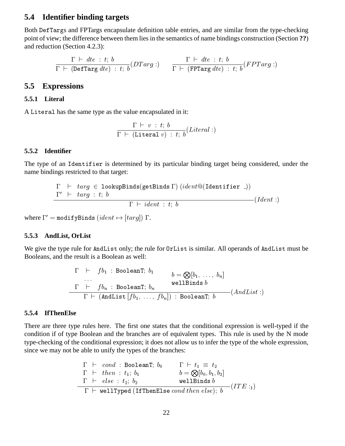## **5.4 Identifier binding targets**

Both DefTargs and FPTargs encapsulate definition table entries, and are similar from the type-checking point of view; the difference between them lies in the semantics of name bindings construction (Section **??**) and reduction (Section 4.2.3):

$$
\frac{\Gamma \ \vdash \ dt e \ : \ t; \ b}{\Gamma \ \vdash \ (\mathtt{DefTarget}) \ : \ t; \ b} (DTarg: ) \qquad \frac{\Gamma \ \vdash \ dt e \ : \ t; \ b}{\Gamma \ \vdash \ (\mathtt{FPTarg} \ dt e) \ : \ t; \ b} (FPTarg: )
$$

### **5.5 Expressions**

### **5.5.1 Literal**

A Literal has the same type as the value encapsulated in it:

$$
\frac{\Gamma \vdash v : t; b}{\Gamma \vdash (\mathtt{Literal} \ v) : t; \ b}(\mathit{Literal} :)
$$

#### **5.5.2 Identifier**

The type of an Identifier is determined by its particular binding target being considered, under the name bindings restricted to that target:

$$
\Gamma \vdash \text{targ} \in \text{lookupBinds}(\text{getBinds} \Gamma) (\text{ident@}(\text{Identifier} \_))
$$
\n
$$
\frac{\Gamma' \vdash \text{targ} : t; b}{\Gamma \vdash \text{ident} : t; b} (Ident \_))
$$

,我们也不能会在这里,我们的时候,我们也不能会在这里,我们也不能会不能会不能会。""我们的时候,我们也不能会不能会不能会不能会不能会不能会不能会不能会不能会不能

where  $\Gamma' = \texttt{modifyBinds}\ (ident \mapsto [targ])$   $\Gamma.$ 

### **5.5.3 AndList, OrList**

We give the type rule for AndList only; the rule for <code>OrList</code> is similar. All operands of <code>AndList</code> must be Booleans, and the result is a Boolean as well:

$$
\begin{array}{lcl} \Gamma & \vdash & f b_1 \; : \; \mathtt{BooleanT}; \; b_1 & b = \bigotimes [b_1, \; \ldots, \; b_n] \\ & \ldots & \; \; \mathtt{wellBinds} \; b \\ & \Gamma & \vdash & f b_n \; : \; \mathtt{BooleanT}; \; b_n \\ & \Gamma & \vdash & (\mathtt{AndList}\; [fb_1, \; \ldots, \; fb_n]) \; : \; \mathtt{BooleanT}; \; b \end{array} \quad (AndList:)
$$

### **5.5.4 IfThenElse**

There are three type rules here. The first one states that the conditional expression is well-typed if the condition if of type Boolean and the branches are of equivalent types. This rule is used by the N mode type-checking of the conditional expression; it does not allow us to infer the type of the whole expression, since we may not be able to unify the types of the branches:

$$
\begin{array}{lll}\n\Gamma & \vdash & \textit{cond} \, : \, \texttt{BooleanT}; \, b_0 & \Gamma \, \vdash \, t_1 \, \equiv \, t_2 \\
\Gamma & \vdash & \textit{then} \, : \, t_1; \, b_1 & b = \bigotimes[b_0, b_1, b_2] \\
\Gamma & \vdash & \textit{else} \, : \, t_2; \, b_2 & \textit{wellBinds } b \\
\hline\n\Gamma & \vdash & \texttt{wellTyped (IfThenElse \, cond \, then \, else); \, b} & (ITE :_1)\n\end{array}
$$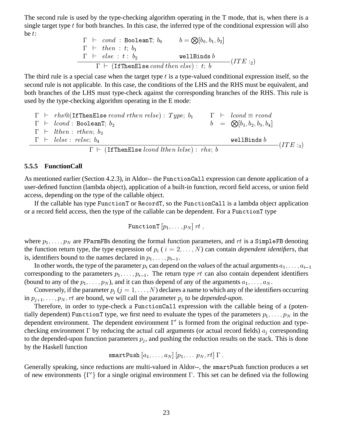The second rule is used by the type-checking algorithm operating in the T mode, that is, when there is a single target type  $t$  for both branches. In this case, the inferred type of the conditional expression will also be  $t$ :

$$
\begin{array}{lcl}\n\Gamma & \vdash & \textit{cond} \; : \; \texttt{BooleanT}; \; b_0 \qquad & b = \bigotimes [b_0, b_1, b_2] \\
\Gamma & \vdash & \textit{then} \; : \; t; \; b_1 \\
\hline\n\Gamma & \vdash & \textit{else} \; : \; t : \; b_2 \qquad & \textit{wellBinds} \; b \\
\hline\n\Gamma & \vdash & \text{(IfThenElse \; cond \; then \; else): \; t; \; b\n\end{array} (ITE :_2)
$$

The third rule is a special case when the target type  $t$  is a type-valued conditional expression itself, so the second rule is not applicable. In this case, the conditions of the LHS and the RHS must be equivalent, and both branches of the LHS must type-check against the corresponding branches of the RHS. This rule is used by the type-checking algorithm operating in the E mode:

$$
\Gamma \vdash \text{rhs@(If ThenElse } \text{rcond } \text{r} \text{ then } \text{relse}): \text{Type; } b_1 \qquad \Gamma \vdash \text{lcond } \equiv \text{rcond} \\ \Gamma \vdash \text{lcond : BooleanT; } b_2 \qquad \qquad b = \text{ } \text{ } \text{ } \text{ } \text{ } \text{ } b_1, b_2, b_3, b_4]
$$
\n
$$
\Gamma \vdash \text{lthen : } \text{rthen; } b_3
$$
\n
$$
\Gamma \vdash \text{lelse : } \text{relse; } b_4
$$
\n
$$
\Gamma \vdash (\text{IfThenElse } \text{lcond } \text{lthen } \text{lelse}) : \text{rhs; } b
$$
\n
$$
\Gamma \vdash (\text{IfThenElse } \text{lcond } \text{lthen } \text{lelse}) : \text{rhs; } b
$$
\n
$$
\tag{ITE : 3}
$$

#### **5.5.5 FunctionCall**

As mentioned earlier (Section 4.2.3), in Aldor-- the Function Call expression can denote application of a user-defined function (lambda object), application of a built-in function, record field access, or union field access, depending on the type of the callable object.

If the callable has type FunctionT or RecordT, so the FunctionCall is a lambda object application or a record field access, then the type of the callable can be dependent. For a FunctionT type

$$
\texttt{FunctionT}\left[p_1,\ldots,p_N\right]rt\;,
$$

where  $p_1, \ldots, p_N$  are FParmFBs denoting the formal function parameters, and  $rt$  is a SimpleFB denoting the function return type, the type expression of  $p_i$  ( $i = 2, ..., N$ ) can contain *dependent identifiers*, that is, identifiers bound to the names declared in  $p_1, \ldots, p_{i-1}$ .

In other words, the type of the parameter  $p_i$  can depend on the *values* of the actual arguments  $a_1, \ldots, a_{i-1}$ corresponding to the parameters  $p_1, \ldots, p_{i-1}$ . The return type rt can also contain dependent identifiers (bound to any of the  $p_1, \ldots, p_N$ ), and it can thus depend of any of the arguments  $a_1, \ldots, a_N$ .

Conversely, if the parameter  $p_j$  ( $j = 1, ..., N$ ) declares a name to which any of the identifiers occurring in  $p_{j+1}, \ldots, p_N, rt$  are bound, we will call the parameter  $p_j$  to be *depended-upon*.

Therefore, in order to type-check a FunctionCall expression with the callable being of a (potentially dependent) Function T type, we first need to evaluate the types of the parameters  $p_1, \ldots, p_N$  in the dependent environment. The dependent environment  $\Gamma'$  is formed from the original reduction and typechecking environment  $\Gamma$  by reducing the actual call arguments (or actual record fields)  $a_j$  corresponding to the depended-upon function parameters  $p_j$ , and pushing the reduction results on the stack. This is done by the Haskell function

$$
\texttt{smartPush}\ [a_1,\ldots,a_N]\ [p_1,\ldots\ p_N,rt]\ \Gamma\ .
$$

Generally speaking, since reductions are multi-valued in Aldor--, the smartPush function produces a set of new environments  $\{\Gamma'\}$  for a single original environment  $\Gamma$ . This set can be defined via the following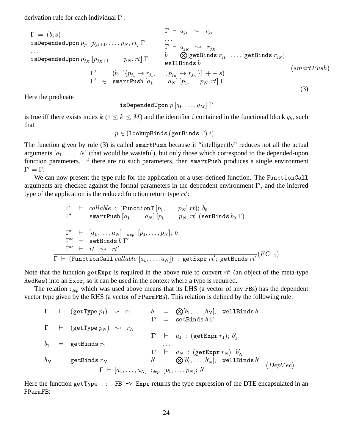derivation rule for each individual  $\Gamma'$ :

$$
\Gamma = (b, s)
$$
\nisDependedUpon  $p_{j_1} [p_{j_1+1}, \ldots, p_N, rt] \Gamma$ \n...\n  
\nisDependedUpon  $p_{j_k} [p_{j_k+1}, \ldots, p_N, rt] \Gamma$ \n
$$
\begin{array}{ccc}\n & b = \bigotimes_{\text{[getBinds } r_{j_1}, \ldots, \text{ getBinds } r_{j_k} \text{]}} \\
 & b = \bigotimes_{\text{[getBinds } b} \\
 & \Gamma' = (b, \left[ \{p_{j_1} \mapsto r_{j_1}, \ldots, p_{j_K} \mapsto r_{j_K} \} \right] + + s) \\
 & \Gamma' \in \text{snartPush } [a_1, \ldots, a_N] \left[ p_1, \ldots p_N, rt \right] \Gamma\n\end{array} (smartPush)
$$
\n(3)

Here the predicate

9!11;! \* \*

is true iff there exists index  $k$  ( $1 \leq k \leq M$ ) and the identifier i contained in the functional block  $q_k$ , such that

 -C!1 -"!1

The function given by rule (3) is called smartPush because it "intelligently" reduces not all the actual arguments  $[a_1, \ldots, N]$  (that would be wasteful), but only those which correspond to the depended-upon function parameters. If there are no such parameters, then smartPush produces a single environment  $\Gamma' = \Gamma$ .

We can now present the type rule for the application of a user-defined function. The FunctionCall arguments are checked against the formal parameters in the dependent environment  $\Gamma'$ , and the inferred type of the application is the reduced function return type  $rt'$ :

$$
\Gamma \vdash \text{callable : } (\text{FunctionT } [p_1, \ldots, p_N] \text{ rt}); b_0
$$
\n
$$
\Gamma' \equiv \text{snartPush } [a_1, \ldots, a_N] \text{ } [p_1, \ldots, p_N, rt] \text{ (setBinds } b_0 \text{ } \Gamma)
$$
\n
$$
\Gamma' \vdash [a_1, \ldots, a_N] \text{ } \exists_{dep} \text{ } [p_1, \ldots, p_N]; b
$$
\n
$$
\Gamma'' \equiv \text{setBinds } b \text{ } \Gamma'
$$
\n
$$
\Gamma'' \vdash rt \rightsquigarrow rt'
$$
\n
$$
\Gamma \vdash (\text{FunctionCall } \text{callable } [a_1, \ldots, a_N]) \text{ } : \text{getExpr } rt'; \text{ getBinds } rt' \text{ } (FC :_1)
$$

Note that the function getExpr is required in the above rule to convert  $rt'$  (an object of the meta-type RedRes) into an Expr, so it can be used in the context where a type is required.

The relation  $a_{\text{dep}}$  which was used above means that its LHS (a vector of any FBs) has the dependent vector type given by the RHS (a vector of FParmFBs). This relation is defined by the following rule:

$$
\Gamma \vdash (\text{getType } p_1) \rightsquigarrow r_1 \qquad b = \bigotimes [b_1, \dots, b_N], \text{ wellBinds } b
$$
\n
$$
\Gamma \vdash (\text{getType } p_N) \rightsquigarrow r_N
$$
\n
$$
\Gamma' \vdash a_1 : (\text{getExpr } r_1); b'_1
$$
\n
$$
b_1 = \text{getBinds } r_1 \qquad \dots
$$
\n
$$
\Gamma' \vdash a_N : (\text{getExpr } r_N); b'_N
$$
\n
$$
\frac{b_N = \text{getBinds } r_N}{\Gamma \vdash [a_1, \dots, a_N] : a_{ep} [p_1, \dots, p_N]; b'}
$$
\n
$$
(DepVec)
$$

Here the function getType :: FB  $\rightarrow$  Expr returns the type expression of the DTE encapsulated in an FParmFB: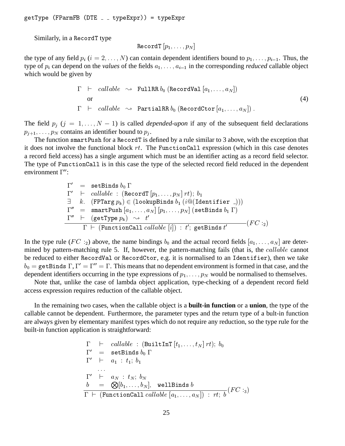''- ''' - '' - '' - '' - '' - '' - '' - '' - '' - '' - '' - '' - '' - '' - '' - '

Similarly, in a RecordT type

$$
\texttt{RecordT}\left[p_1,\ldots,p_N\right]
$$

the type of any field  $p_i$   $(i = 2, ..., N)$  can contain dependent identifiers bound to  $p_1, ..., p_{i-1}$ . Thus, the type of  $p_i$  can depend on the *values* of the fields  $a_1, \ldots, a_{i-1}$  in the corresponding *reduced* callable object which would be given by

$$
\Gamma \vdash \text{ callable } \leadsto \text{ FullRR } b_0 \text{ (RecordVal } [a_1, \ldots, a_N])
$$
\nor

\n
$$
\Gamma \vdash \text{ callable } \leadsto \text{PartialRR } b_0 \text{ (RecordCtor } [a_1, \ldots, a_N]) .
$$
\n(4)

The field  $p_j$   $(j = 1, ..., N - 1)$  is called *depended-upon* if any of the subsequent field declarations  $p_{j+1}, \ldots, p_N$  contains an identifier bound to  $p_j$ .

The function smartPush for a RecordT is defined by a rule similar to 3 above, with the exception that it does not involve the functional block  $rt$ . The Function Call expression (which in this case denotes a record field access) has a single argument which must be an identifier acting as a record field selector. The type of FunctionCall is in this case the type of the selected record field reduced in the dependent environment  $\Gamma$ ":

> $1 =$  setbings  $v_0$  1  $1 \quad \vdash \quad \textit{cautave}$  : (record  $|p_1|$ , :1 + -(7" -C!1 -- 1!,  $1 = \texttt{smar} \cup \texttt{rus} \cup \{a_1, \ldots, a_N | \psi_1, \ldots, \psi_N | \texttt{(seubinas } \psi_1 \texttt{1})\}$  $1 \quad \vdash \quad$  (get lype  $p_k$ )  $\leadsto \quad t$  $\Gamma$   $\vdash$  (FunctionCall callable [i]) : t'; getBinds t'  $\mathbf{I}$  and  $\mathbf{I}$  and  $\mathbf{I}$  and  $\mathbf{I}$  and  $\mathbf{I}$  and  $\mathbf{I}$  and  $\mathbf{I}$  and  $\mathbf{I}$  and  $\mathbf{I}$  and  $\mathbf{I}$  and  $\mathbf{I}$  and  $\mathbf{I}$  and  $\mathbf{I}$  and  $\mathbf{I}$  and  $\mathbf{I}$  and  $\mathbf{I}$  and  $\mathbf{I}$  and

In the type rule ( $FC:_{2}$ ) above, the name bindings  $b_0$  and the actual record fields  $[a_1, \ldots, a_N]$  are determined by pattern-matching rule 5. If, however, the pattern-matching fails (that is, the *callable* cannot be reduced to either RecordVal or RecordCtor, e.g. it is normalised to an Identifier), then we take  $b_0={\tt getBinds}$   $\Gamma,\Gamma'=\Gamma''=\Gamma.$  This means that no dependent environment is formed in that case, and the dependent identifiers occurring in the type expressions of  $p_1, \ldots, p_N$  would be normalised to themselves.

Note that, unlike the case of lambda object application, type-checking of a dependent record field access expression requires reduction of the callable object.

In the remaining two cases, when the callable object is a **built-in function** or a **union**, the type of the callable cannot be dependent. Furthermore, the parameter types and the return type of a bult-in function are always given by elementary manifest types which do not require any reduction, so the type rule for the built-in function application is straightforward:

$$
\Gamma \vdash callable : (BuiltInT[t_1, ..., t_N] rt); b_0 \n\Gamma' = setBinds b_0 \Gamma \n\Gamma' \vdash a_1 : t_1; b_1 \n... \n\Gamma' \vdash a_N : t_N; b_N \n\underline{b} = \bigotimes [b_1, ..., b_N], wellBinds b \n\overline{\Gamma \vdash (FunctionCall callable [a_1, ..., a_N]) : rt; b} (FC :_3)
$$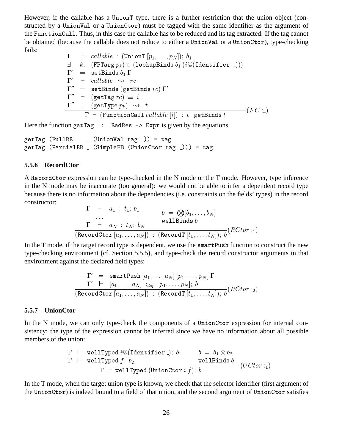However, if the callable has a Union T type, there is a further restriction that the union object (constructed by a UnionVal or a UnionCtor) must be tagged with the same identifier as the argument of the Function Call. Thus, in this case the callable has to be reduced and its tag extracted. If the tag cannot be obtained (because the callable does not reduce to either a UnionVal or a UnionCtor), type-checking fails:

> $\begin{array}{ccc} \mathbf{1} & \mathbf{1} & \mathbf{1} & \mathbf{1} & \mathbf{1} & \mathbf{1} & \mathbf{1} & \mathbf{1} & \mathbf{1} & \mathbf{1} & \mathbf{1} & \mathbf{1} & \mathbf{1} & \mathbf{1} & \mathbf{1} & \mathbf{1} & \mathbf{1} & \mathbf{1} & \mathbf{1} & \mathbf{1} & \mathbf{1} & \mathbf{1} & \mathbf{1} & \mathbf{1} & \mathbf{1} & \mathbf{1} & \mathbf{1} & \mathbf{1} & \mathbf{1} & \mathbf{1} & \mathbf$  + -(7" -C!1 -- 1!,  $1 =$  seubinus  $v_1$  i  $\blacksquare$  $\Gamma$  cannot  $\leadsto$  rc  $1 =$  setBinds (getBinds  $rc$ ) i  $\Gamma$  (get i agr  $rc$ )  $=$   $i$  $1 \quad \sqsubset \quad$  (gellype  $p_k$ )  $\rightsquigarrow \quad \iota$  $\Gamma$  and  $\Gamma$  and  $\Gamma$  and  $\Gamma$  and  $\Gamma$  and  $\Gamma$  and  $\Gamma$  and  $\Gamma$  and  $\Gamma$  and  $\Gamma$  and  $\Gamma$  and  $\Gamma$  and  $\Gamma$  and  $\Gamma$  and  $\Gamma$  and  $\Gamma$  and  $\Gamma$  and  $\Gamma$  and  $\Gamma$  and  $\Gamma$  and  $\Gamma$  and  $\Gamma$  and  $\Gamma$  and  $\Gamma$  and  $\Gamma$   $\Gamma$   $\vdash$  (FunctionCall callable [i]) : t; getBinds t

Here the function getTag :: RedRes  $\rightarrow$  Expr is given by the equations

```
getTag (FullRR \_ (UnionVal tag \_)) = tag
getTag (PartialRR _ (SimpleFB (UnionCtor tag _))) = tag
```
### **5.5.6 RecordCtor**

A RecordCtor expression can be type-checked in the N mode or the T mode. However, type inference in the N mode may be inaccurate (too general): we would not be able to infer a dependent record type because there is no information about the dependencies (i.e. constraints on the fields' types) in the record constructor:

 -:15 -:1 -

In the T mode, if the target record type is dependent, we use the smartPush function to construct the new type-checking environment (cf. Section 5.5.5), and type-check the record constructor arguments in that environment against the declared field types:

$$
\begin{array}{rl}\Gamma' & = & \texttt{snartPush}\left[a_1, \ldots, a_N\right]\left[p_1, \ldots, p_N\right]\Gamma\\ \Gamma' & \vdash & \left[a_1, \ldots, a_N\right] \; :_{dep} \; \left[p_1, \ldots, p_N\right];\; b \\ \hline \texttt{(RecordCtor}\left[a_1, \ldots, a_N\right)] \; : \; \texttt{(RecordT}\left[t_1, \ldots, t_N\right]);\; b}\left(RCtor:_{2}\right)\end{array}
$$

#### **5.5.7 UnionCtor**

In the N mode, we can only type-check the components of a UnionCtor expression for internal consistency; the type of the expression cannot be inferred since we have no information about all possible members of the union:

$$
\begin{array}{lcl}\n\Gamma & \vdash & \texttt{wellTyped} \; i@(\texttt{Identity} \texttt{def} \texttt{ifier} \texttt{ } \texttt{.});\; b_1 & b = b_1 \otimes b_2 \\
\hline\n\Gamma & \vdash & \texttt{wellTyped} \; f; \; b_2 & \texttt{wellBinds} \; b \\
\hline\n\Gamma & \vdash & \texttt{wellTyped} \; (\texttt{UnionCtor} \; i \; f); \; b\n\end{array} (U C tor: {}_1)
$$

In the T mode, when the target union type is known, we check that the selector identifier (first argument of the UnionCtor) is indeed bound to a field of that union, and the second argument of UnionCtor satisfies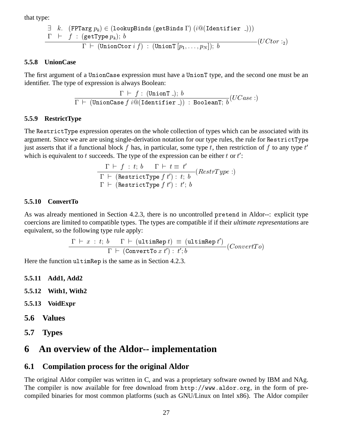that type:

$$
\exists k. \quad (\text{FPTarg } p_k) \in (\text{lookupBinds (getBinds } \Gamma) \ (i \textcircled{a} (\text{Identity } \_))) \\ \Gamma \quad \vdash \quad f : (\text{getType } p_k); \ b \\ \Gamma \quad \vdash \quad (\text{UnionCtor } i \ f) : (\text{UnionT } [p_1, \ldots, p_N]); \ b \qquad \qquad (UCor :_2)
$$

#### **5.5.8 UnionCase**

The first argument of a UnionCase expression must have a UnionT type, and the second one must be an identifier. The type of expression is always Boolean:

$$
\dfrac{\Gamma \;\vdash\; f:\;(\mathtt{UnionT}\;\_); \;b}{\Gamma \;\vdash\;(\mathtt{UnionCase}\; f\;i@(\mathtt{Identifier}\;\_))\;:\;\mathtt{BooleanT};\;b}(UCase:)
$$

#### **5.5.9 RestrictType**

The RestrictType expression operates on the whole collection of types which can be associated with its argument. Since we are are using single-derivation notation for our type rules, the rule for  $\mathtt{RestrictType}$ just asserts that if a functional block  $f$  has, in particular, some type  $t$ , then restriction of  $f$  to any type  $t'$ which is equivalent to  $t$  succeeds. The type of the expression can be either  $t$  or  $t'$ :

$$
\frac{\Gamma \vdash f : t; b \quad \Gamma \vdash t \equiv t'}{\Gamma \vdash (\text{RestrictType } f t') : t; b} (RestrType :)
$$
  

$$
\Gamma \vdash (\text{RestrictType } f t') : t'; b
$$

#### **5.5.10 ConvertTo**

As was already mentioned in Section 4.2.3, there is no uncontrolled pretend in Aldor--: explicit type coercions are limited to compatible types. The types are compatible if if their *ultimate representations* are equivalent, so the following type rule apply:

$$
\frac{\Gamma \vdash x : t; b \quad \Gamma \vdash (\mathtt{ultimeRep}\ t) \equiv (\mathtt{ultimeRep}\ t')}{\Gamma \vdash (\mathtt{ConvertTo}\ x\ t') : t'; b} (Convert To)
$$

Here the function  $ultimRep$  is the same as in Section 4.2.3.

- **5.5.11 Add1, Add2**
- **5.5.12 With1, With2**
- **5.5.13 VoidExpr**
- **5.6 Values**
- **5.7 Types**

## **6 An overview of the Aldor-- implementation**

## **6.1 Compilation process for the original Aldor**

The original Aldor compiler was written in C, and was a proprietary software owned by IBM and NAg. The compiler is now available for free download from  $http://www.aldor.org, in the form of pre$ compiled binaries for most common platforms (such as GNU/Linux on Intel x86). The Aldor compiler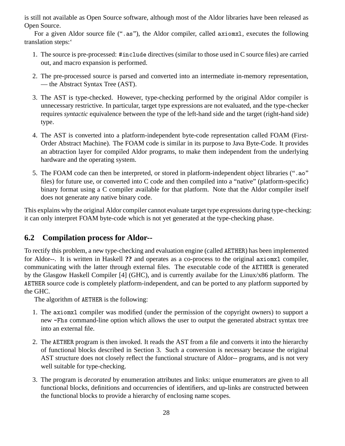is still not available as Open Source software, although most of the Aldor libraries have been released as Open Source.

For a given Aldor source file (". as"), the Aldor compiler, called axiomx1, executes the following translation steps:'

- 1. The source is pre-processed: #include directives (similar to those used in C source files) are carried out, and macro expansion is performed.
- 2. The pre-processed source is parsed and converted into an intermediate in-memory representation, — the Abstract Syntax Tree (AST).
- 3. The AST is type-checked. However, type-checking performed by the original Aldor compiler is unnecessary restrictive. In particular, target type expressions are not evaluated, and the type-checker requires *syntactic* equivalence between the type of the left-hand side and the target (right-hand side) type.
- 4. The AST is converted into a platform-independent byte-code representation called FOAM (First-Order Abstract Machine). The FOAM code is similar in its purpose to Java Byte-Code. It provides an abtraction layer for compiled Aldor programs, to make them independent from the underlying hardware and the operating system.
- 5. The FOAM code can then be interpreted, or stored in platform-independent object libraries (".ao" files) for future use, or converted into C code and then compiled into a "native" (platform-specific) binary format using a C compiler available for that platform. Note that the Aldor compiler itself does not generate any native binary code.

This explains why the original Aldor compiler cannot evaluate target type expressions during type-checking: it can only interpret FOAM byte-code which is not yet generated at the type-checking phase.

## **6.2 Compilation process for Aldor--**

To rectify this problem, a new type-checking and evaluation engine (called AETHER) has been implemented for Aldor--. It is written in Haskell ?? and operates as a co-process to the original axiomxl compiler, communicating with the latter through external files. The executable code of the AETHER is generated by the Glasgow Haskell Compiler [4] (GHC), and is currently availabe for the Linux/x86 platform. The AETHER source code is completely platform-independent, and can be ported to any platform supported by the GHC.

The algorithm of AETHER is the following:

- 1. The axiomxl compiler was modified (under the permission of the copyright owners) to support a new -Fhs command-line option which allows the user to output the generated abstract syntax tree into an external file.
- 2. The AETHER program is then invoked. It reads the AST from a file and converts it into the hierarchy of functional blocks described in Section 3. Such a conversion is necessary because the original AST structure does not closely reflect the functional structure of Aldor-- programs, and is not very well suitable for type-checking.
- 3. The program is *decorated* by enumeration attributes and links: unique enumerators are given to all functional blocks, definitions and occurrencies of identifiers, and up-links are constructed between the functional blocks to provide a hierarchy of enclosing name scopes.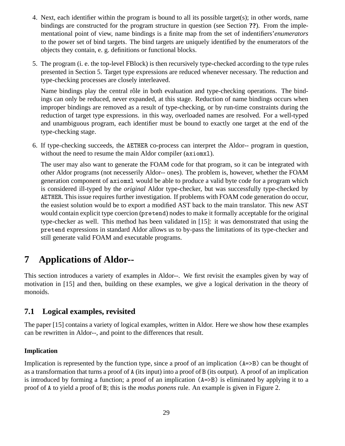- 4. Next, each identifier within the program is bound to all its possible target(s); in other words, name bindings are constructed for the program structure in question (see Section **??**). From the implementational point of view, name bindings is a finite map from the set of indentifiers'*enumerators* to the power set of bind targets. The bind targets are uniquely identified by the enumerators of the objects they contain, e. g. definitions or functional blocks.
- 5. The program (i. e. the top-level FBlock) is then recursively type-checked according to the type rules presented in Section 5. Target type expressions are reduced whenever necessary. The reduction and type-checking processes are closely interleaved.

Name bindings play the central rôle in both evaluation and type-checking operations. The bindings can only be reduced, never expanded, at this stage. Reduction of name bindings occurs when improper bindings are removed as a result of type-checking, or by run-time constraints during the reduction of target type expressions. in this way, overloaded names are resolved. For a well-typed and unambiguous program, each identifier must be bound to exactly one target at the end of the type-checking stage.

6. If type-checking succeeds, the AETHER co-process can interpret the Aldor-- program in question, without the need to resume the main Aldor compiler ( $axiomx1$ ).

The user may also want to generate the FOAM code for that program, so it can be integrated with other Aldor programs (not necesserily Aldor-- ones). The problem is, however, whether the FOAM generation component of  $axi$  oments would be able to produce a valid byte code for a program which is considered ill-typed by the *original* Aldor type-checker, but was successfully type-checked by AETHER. This issue requires further investigation. If problems with FOAM code generation do occur, the easiest solution would be to export a modified AST back to the main translator. This new AST would contain explicit type coercion ( $pre$ tend) nodes to make it formally acceptable for the original type-checker as well. This method has been validated in [15]: it was demonstrated that using the pretend expressions in standard Aldor allows us to by-pass the limitations of its type-checker and still generate valid FOAM and executable programs.

# **7 Applications of Aldor--**

This section introduces a variety of examples in Aldor--. We first revisit the examples given by way of motivation in [15] and then, building on these examples, we give a logical derivation in the theory of monoids.

## **7.1 Logical examples, revisited**

The paper [15] contains a variety of logical examples, written in Aldor. Here we show how these examples can be rewritten in Aldor--, and point to the differences that result.

## **Implication**

Implication is represented by the function type, since a proof of an implication  $(A = \gt B)$  can be thought of as a transformation that turns a proof of A (its input) into a proof of B (its output). A proof of an implication is introduced by forming a function; a proof of an implication  $(A = \geq B)$  is eliminated by applying it to a proof of A to yield a proof of B; this is the *modus ponens* rule. An example is given in Figure 2.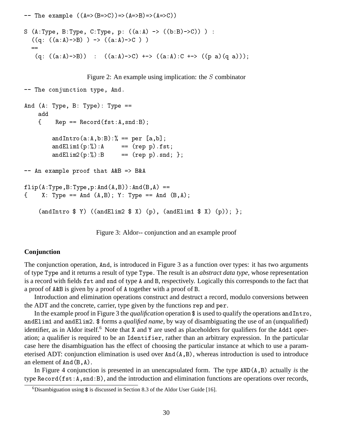-- The example  $((A=>(B=>C))=>(A=>B)=>(A=>(C))$  $\sim$  (h, iyo)  $\sim$  iyo)  $\sim$  iyo)  $\sim$  is the set of the set of the set of the set of the set of the set of the set of the set of the set of the set of the set of the set of the set of the set of the set of the set of the  $((q: ((a:A) \rightarrow B)) \rightarrow ((a:A) \rightarrow C))$  $(q: ((a:A)->B)) : ((a:A)->C)$  +->  $((a:A):C$  +->  $((p a)(q a)))$ ; Figure 2: An example using implication: the  $S$  combinator  $\mathbf{1}_{\mathbf{1}}$   $\mathbf{0}_{\mathbf{0}}$   $\mathbf{1}_{\mathbf{1}}$   $\mathbf{0}_{\mathbf{1}}$   $\mathbf{0}_{\mathbf{1}}$   $\mathbf{0}_{\mathbf{1}}$   $\mathbf{0}_{\mathbf{1}}$   $\mathbf{0}_{\mathbf{1}}$   $\mathbf{0}_{\mathbf{1}}$   $\mathbf{0}_{\mathbf{1}}$   $\mathbf{0}_{\mathbf{1}}$   $\mathbf{0}_{\mathbf{1}}$   $\mathbf{0}_{\mathbf{1}}$   $\mathbf{0}_{\mathbf{1}}$   $\mathbf{0}_{\mathbf{$  $\lim_{n \to \infty}$  (ii)  $\lim_{n \to \infty}$  by  $\lim_{n \to \infty}$  by  $\lim_{n \to \infty}$ add J : :1, 6' !1B  $andIntro(a:A,b:B):$ % == per [a,b]; !18
K6 ), B !18+K ) !1B LB  $--$  An example proof that  $A&B \Rightarrow B&A$ 

,6-'-'6!16'6!1'6  $\mathcal{F}$ از (11, 1990 - 1111 (11, 1970 - 1111 (1941) )

(and Intro  $\text{\$ Y}$ ) ((and Elim 2  $\text{\$ X}$ ) (p), (and Elim 1  $\text{\$ X}$ ) (p)); };

Figure 3: Aldor-- conjunction and an example proof

#### **Conjunction**

The conjunction operation, And, is introduced in Figure 3 as a function over types: it has two arguments of type Type and it returns a result of type Type. The result is an *abstract data type*, whose representation is a record with fields <code>fst</code> and <code>snd</code> of type A and B, respectively. Logically this corresponds to the fact that a proof of A&B is given by a proof of A together with a proof of B.

Introduction and elimination operations construct and destruct a record, modulo conversions between the ADT and the concrete, carrier, type given by the functions rep and per.

In the example proof in Figure 3 the *qualification* operation  $\hat{\phi}$  is used to qualify the operations and Intro, and Elim1 and and Elim2. \$ forms a *qualified name*, by way of disambiguating the use of an (unqualified) identifier, as in Aldor itself.<sup>6</sup> Note that X and Y are used as placeholders for qualifiers for the Add1 operation; a qualifier is required to be an Identifier, rather than an arbitrary expression. In the particular case here the disambiguation has the effect of choosing the particular instance at which to use a parameterised ADT: conjunction elimination is used over  $And(A, B)$ , whereas introduction is used to introduce an element of  $And(B, A)$ .

In Figure 4 conjunction is presented in an unencapsulated form. The type AND(A, B) actually *is* the type Record (fst: A, snd: B), and the introduction and elimination functions are operations over records,

<sup>&</sup>lt;sup>6</sup>Disambiguation using  $\$  is discussed in Section 8.3 of the Aldor User Guide [16].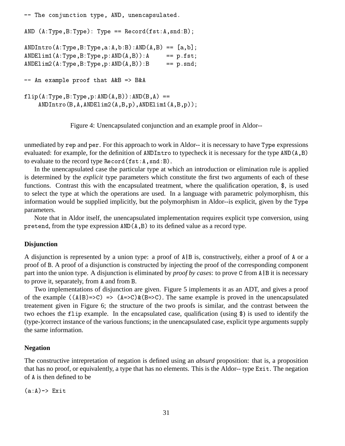```
\frac{1}{100} conjunction \frac{1}{20} \frac{1}{20} \frac{1}{20} \frac{1}{20} \frac{1}{20} \frac{1}{20} \frac{1}{20} \frac{1}{20}639 6-
'-
 -
  :1,
6'
!1B
639 !6-
'-
'6'-6396'  #'-$B
6398
6-
'-
'6396'6  ),
                             == p.fst;6398+6-
'-
'6396'  )
                              == p.snd;-- An example proof that A&B \Rightarrow B&A,6-
'-
'6396'639'6 
   ANDIntro(B, A, ANDElim2(A, B, p) , ANDElim1(A, B, p));
```
Figure 4: Unencapsulated conjunction and an example proof in Aldor--

unmediated by rep and per. For this approach to work in Aldor-- it is necessary to have Type expressions evaluated: for example, for the definition of ANDIntro to typecheck it is necessary for the type  $AND(A, B)$ to evaluate to the record type Record (fst:A,snd:B).

In the unencapsulated case the particular type at which an introduction or elimination rule is applied is determined by the *explicit* type parameters which constitute the first two arguments of each of these functions. Contrast this with the encapsulated treatment, where the qualification operation, \$, is used to select the type at which the operations are used. In a language with parametric polymorphism, this information would be supplied implicitly, but the polymorphism in Aldor--is explicit, given by the Type parameters.

Note that in Aldor itself, the unencapsulated implementation requires explicit type conversion, using pretend, from the type expression  $AND(A, B)$  to its defined value as a record type.

#### **Disjunction**

A disjunction is represented by a union type: a proof of  $A \mid B$  is, constructively, either a proof of A or a proof of B. A proof of a disjunction is constructed by injecting the proof of the corresponding component part into the union type. A disjunction is eliminated by *proof by cases*: to prove  $\mathcal{C}$  from  $\mathcal{A} | \mathcal{B}$  it is necessary to prove it, separately, from A and from B.

Two implementations of disjunction are given. Figure 5 implements it as an ADT, and gives a proof of the example 645 65M5. The same example is proved in the unencapsulated treatement given in Figure 6; the structure of the two proofs is similar, and the contrast between the two echoes the  $flip$  example. In the encapsulated case, qualification (using  $\hat{\phi}$ ) is used to identify the (type-)correct instance of the various functions; in the unencapsulated case, explicit type arguments supply the same information.

#### **Negation**

The constructive intrepretation of negation is defined using an *absurd* proposition: that is, a proposition that has no proof, or equivalently, a type that has no elements. This is the Aldor-- type Exit. The negation of A is then defined to be

 $(a:A) \rightarrow E$ xit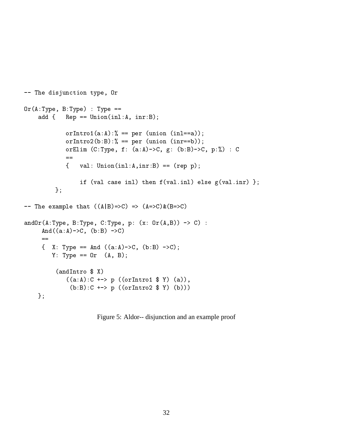```
\frac{1}{100} and \frac{1}{100} and \frac{1}{100} and \frac{1}{100} are \frac{1}{100} and \frac{1}{100} and \frac{1}{100} are \frac{1}{100}@6-
' -
  -

   add \{ Rep == Union(inl:A, inr:B);
           orIntro1(a:A):% == per (union (inl==a));
           orIntro2(b:B):% == per (union (inr==b));
           0111111 (0.1) 0, 1. (0.11) 0, 6. (0.1) 0, 0, 0.10) 0
           ={ val: Union(in1:A,inr:B) == (rep p);, > 
 ! ! ,>)! 
 ">)! LB
        \};
-- The example that ((A|B)=>C) => (A=>C) & (B=>C)!1@6-
' -
' 5-
'   @6'  5 
    And ((a:A) \rightarrow C, (b:B) \rightarrow C)=( 1. 1 yes 111 ((u.n.) v) (b.b) v) )
       \cdots \cdots \cdots(andIntro $ X)((a:A):C \dashrightarrow p ((orIntro1 \$ Y) (a)),(b:B):C \dashrightarrow p ((orIntro2 $ Y) (b)))
   \} ;
```
Figure 5: Aldor-- disjunction and an example proof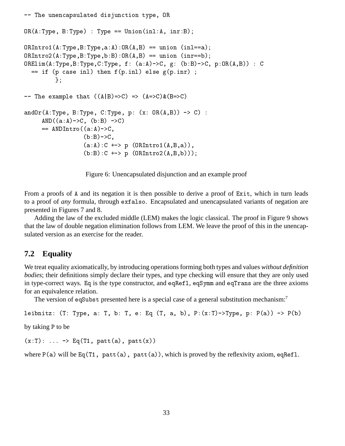```
\frac{1}{100} dhonodpodfacod dib janoofon bypo; on
on(n.iyo) D.iyoo) . iyoo ciilon(1111.n) 1111.b);
@: !
6-
'-
'6@:6'  !! !B
@: !+6-
'-
'-@:6'  !! !-B
@:86-
'-
'5-
' , 65' " -5' @:6'  5
  , and the set of the set of the set of the set of the set of the set of the set of the set of the set of the set of the set of the set of the set of the set of the set of the set of the set of the set of the set of the se
         LB
-- The example that ((A|B)=>C) => (A=>C) & (B=>C)anaoi (n. 1909) D. 1909) O. 1909) p. (n. 1910) 1999 (n. 1999).
     AND((a:A) \rightarrow C, (b:B) \rightarrow C)== ANDIntro((a:A)->C,
                  (b:B)->C,
                  (a:A):C \dashrightarrow p (ORIntro1(A,B,a)),
                  (b:B):C \rightarrow \rightarrow p (ORIntro2(A,B,b)));
```
Figure 6: Unencapsulated disjunction and an example proof

From a proofs of A and its negation it is then possible to derive a proof of Exit, which in turn leads to a proof of *any* formula, through exfalso. Encapsulated and unencapsulated variants of negation are presented in Figures 7 and 8.

Adding the law of the excluded middle (LEM) makes the logic classical. The proof in Figure 9 shows that the law of double negation elimination follows from LEM. We leave the proof of this in the unencapsulated version as an exercise for the reader.

## **7.2 Equality**

We treat equality axiomatically, by introducing operations forming both types and values *without definition bodies*; their definitions simply declare their types, and type checking will ensure that they are only used in type-correct ways. Eq is the type constructor, and eqRef1, eqSymm and eqTrans are the three axioms for an equivalence relation.

The version of eqSubst presented here is a special case of a general substitution mechanism:<sup>7</sup>

```
totaitozi (t. typo) u. t. o. t. o. la (t.) u.) o.) t. (n.t.) stypo) p. t. (u/) st. (o/
```
by taking P to be

```
(x:T): \ldots \rightarrow Eq(T1, part(a), part(x))
```

```
where P(a) will be Eq(T1, patt(a), patt(a)), which is proved by the reflexivity axiom, eqRef1.
```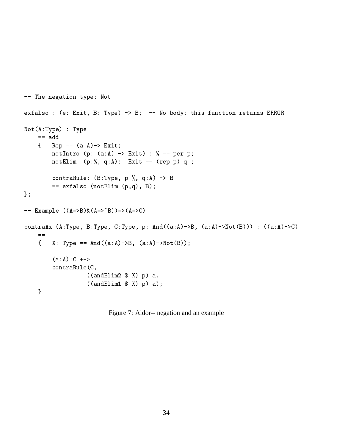```
  !"! -
 3
CALULUO , (C, DAIO, D, LYPO) / D, NO DOUY, 01110 IUILOILOIL LOOUIND DIMONO
36-
  -

    == add
    { Rep == (a:A) -> Ext;notIntro (p: (a:A) \rightarrow Ext) : % == per p;
        notElim (p:%, q:A): Exit == (rep p) q ;
         001101 0101101 (D. 19 po 9 p. 70 p. 71)
          ,
 !8 '?' B
\} ;
-- Example ((A=>B) & (A=>^B)) = (A=>^C)oonbruin (n.1390) D.1390) O.1390) p. mia ((a.n) D) (a.n) Aoo (D))) , ((a.n) O)
    ==J N -
  6!16' 63B
         (a:A):C \rightarrow -\inftycontraRule(C,((and Elim2 \ X) p) a,
                    ((and Elim1 \ X) p) a);
    \mathcal{L} . The contract of the contract of the contract of the contract of the contract of the contract of the contract of the contract of the contract of the contract of the contract of the contract of the contract of th
```
Figure 7: Aldor-- negation and an example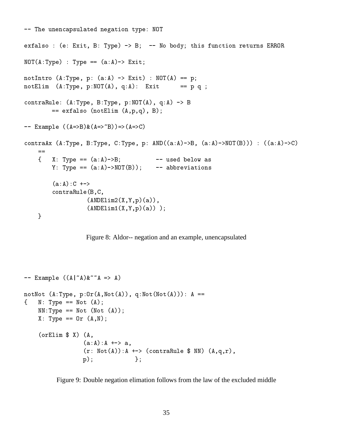```
  !!
1 !"! -
 3@
onfutbo , (o, mito, b, i<sub>/</sub>po) , b, io body, onto function focuting masors
3@6-
  -
  6 8B
1.00111010 (ii, iyov) p. (d.i.) aniv, noi (ii) p.
1.00111111 (iii) 1/901 ) 1/1/9 ) 1/1/9 ) 1/1/9 ) 1/1/9 ) 1/1/9oon or and respect to the control of the control of the control of the control of the control of the control o
       onidio (notiling (n)p)(), b),
-- Example ((A=>B) & (A=>^E)) = (A=>C)oonbruin (n.1390) b.1390) o.1390) p. mb ((u.n) 'b) (u.n) 'Nor (b) ) . ((u.n) 'o)
   =X: Type == (a:A) \rightarrow B;  6B  
1 - 
       O -
  63@B  -->!
       (a:A):C \rightarrow \rightarrowcontraRule(B,C,
                 (ANDElim2(X,Y,p)(a)),(ANDElim1(X,Y,p)(a));
    <u>La componenta de la componenta de la componenta de la componenta de la componenta de la componenta de la compo</u>
```


```
-- Example ((A|^{\sim}A)\&^{\sim\sim}A \Rightarrow A)\frac{1}{2} . The state of the state of the state of the state of the state of the state of the state of the state of the state of the state of the state of the state of the state of the state of the state of the state of t
\blacksquare . The set of the set of the set of the set of the set of the set of the set of the set of the set of the set of the set of the set of the set of the set of the set of the set of the set of the set of the set of the
         33-
  3 3 6B
         \ldots \ldots \ldots \ldots(orElim $ X) (A, )(a:A): A \dashrightarrow a,
                                        (r: Not(A)): A + -> (contraRule $ NN) (A,q,r),
                                        e di secolo di secolo di secolo di secolo di secolo di secolo di secolo di secolo di secolo di secolo di secol
```
Figure 9: Double negation elimation follows from the law of the excluded middle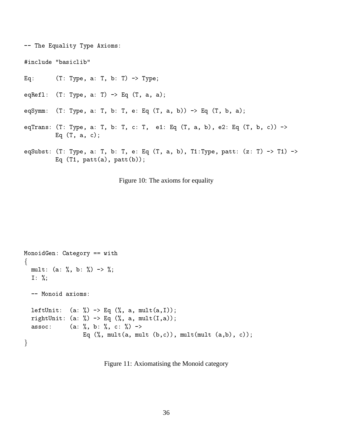8?-- 6

ag. (2. 1909 a. 1907 a. 1909)

 $\cup$ qi $\cup$ i i  $\cup$ i i  $\cup$  i  $\cup$  i  $\cup$  i  $\cup$  i  $\cup$  i  $\cup$  i  $\cup$  i  $\cup$  i  $\cup$  i  $\cup$  i  $\cup$  i  $\cup$  i  $\cup$  i  $\cup$  i  $\cup$  i  $\cup$  i  $\cup$  i  $\cup$  i  $\cup$  i  $\cup$  i  $\cup$  i  $\cup$  i  $\cup$  i  $\cup$  i  $\cup$  i  $\cup$  i  $\cup$  i  $\cup$  i  $\cup$ 

- eqSymm: -' ' - ' 8? ' ' - 8? ' -' B
- ?! -' ' ' ' 8? ' ' -' + 8? ' -'  $Eq(T, a, c);$
- oqbabbo: (1, 1)po; a, 1) b, 1) o, 14 (1) a; b/; 11,1)po; paoo, (2, 1) / 11) Eq  $(T1, \text{ patt}(a), \text{ patt}(b));$

Figure 10: The axioms for equality

```
deciments are all the contract of the contract of the contract of the contract of the contract of the contract of the contract of the contract of the contract of the contract of the contract of the contract of the contract
and the contract of the contract of the contract of the contract of the contract of the contract of the contract of the contract of the contract of the contract of the contract of the contract of the contract of the contra
     mult: (a: %, b: %) \rightarrow %;I: \%;-- Monoid axioms:
     leftUnit: (a: %) -> Eq (%, a, mult(a, I));
     rightUnit: (a: %) -> Eq (% , a, mult(I,a));(a: %, b: %, c: %) ->
                                                     Eq (\%, mult(a, mult (b, c)), mult(mult (a, b), c));
and the contract of the contract of the contract of the contract of the contract of the contract of the contract of the contract of the contract of the contract of the contract of the contract of the contract of the contra
```
Figure 11: Axiomatising the Monoid category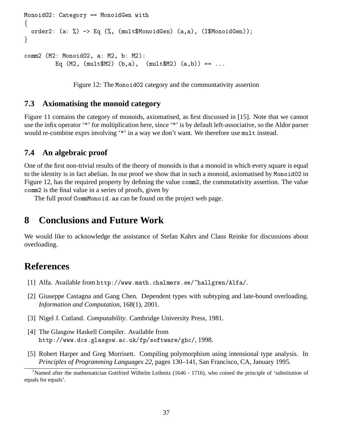```
D!1@+ 5"-
  D!1R! 
and the contract of the contract of the contract of the contract of the contract of the contract of the contract of the contract of the contract of the contract of the contract of the contract of the contract of the contra
     order2: (a: %) -> Eq (% , (mult$MonoidGen) (a, a), (I$MonoidGen);
and the contract of the contract of the contract of the contract of the contract of the contract of the contract of the contract of the contract of the contract of the contract of the contract of the contract of the contra
comm2 (M2: Monoid02, a: M2, b: M2):
                       Eq (M2, (mult$M2) (b,a), (mult$M2) (a,b)) == ...
```
Figure 12: The Monotid 2 category and the communtativity assertion

## **7.3 Axiomatising the monoid category**

Figure 11 contains the category of monoids, axiomatised, as first discussed in [15]. Note that we cannot use the infix operator '\*' for multiplication here, since '\*' is by default left-associative, so the Aldor parser would re-combine exprs involving '\*' in a way we don't want. We therefore use mult instead.

### **7.4 An algebraic proof**

One of the first non-trivial results of the theory of monoids is that a monoid in which every square is equal to the identity is in fact abelian. In our proof we show that in such a monoid, axiomatised by Monoid02 in Figure 12, has the required property by defining the value comme 2, the commutativity assertion. The value comm2 is the final value in a series of proofs, given by

The full proof CommMonoid. as can be found on the project web page.

## **8 Conclusions and Future Work**

We would like to acknowledge the assistance of Stefan Kahrs and Claus Reinke for discussions about overloading.

## **References**

- [1] Alfa. Available from http://www.math.chalmers.se/~hallgren/Alfa/.
- [2] Giuseppe Castagna and Gang Chen. Dependent types with subtyping and late-bound overloading. *Information and Computation*, 168(1), 2001.
- [3] Nigel J. Cutland. *Computability*. Cambridge University Press, 1981.
- [4] The Glasgow Haskell Compiler. Available from http://www.dcs.glasgow.ac.uk/fp/software/ghc/,1998.
- [5] Robert Harper and Greg Morrisett. Compiling polymorphism using intensional type analysis. In *Principles of Programming Languages 22*, pages 130–141, San Francisco, CA, January 1995.

<sup>&</sup>lt;sup>7</sup>Named after the mathematician Gottfried Wilhelm Leibnitz (1646 - 1716), who coined the principle of 'substitution of equals for equals'.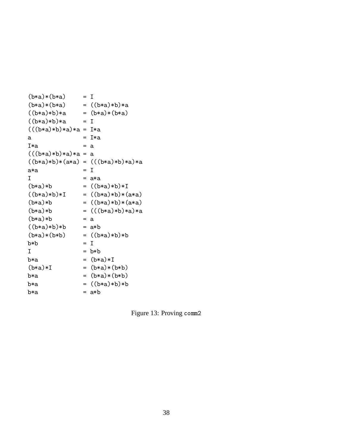```
(b*a)*(b*a)= 1(b*a)*(b*a) = ((b*a)*b)*a((b*a)*b)*a = (b*a)*(b*a)((b*a)*b)*a = I(((b*a)*b)*a)*a = I*a(((b*a)*b)*a)*a = a((b*a)*b)*(a*a) = (((b*a)*b)*a)*a\mathbf{I}= a*a(b*a)*b = ((b*a)*b)*I((b*a)*b)*I = ((b*a)*b)*(a*a)(b*a)*b = ((b*a)*b)*(a*a)(b*a)*b = (((b*a)*b)*a)*a(b*a)*b= a((b*a)*b)*b = a*b(b*a)*(b*b) = ((b*a)*b)*b= I
b*a = (b*a)*I(b*a)*I = (b*a)*(b*b)b * a = (b * a) * (b * b)= ((b*a)*b)*bb \times ab*a = a*b
```
Figure 13: Proving comm2